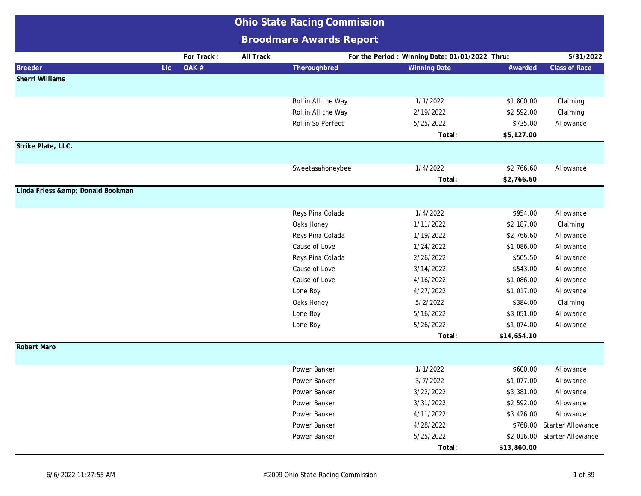|                               |                     | <b>Ohio State Racing Commission</b> |           |                                |  |                                                |             |                              |
|-------------------------------|---------------------|-------------------------------------|-----------|--------------------------------|--|------------------------------------------------|-------------|------------------------------|
|                               |                     |                                     |           | <b>Broodmare Awards Report</b> |  |                                                |             |                              |
|                               |                     | For Track:                          | All Track |                                |  | For the Period: Winning Date: 01/01/2022 Thru: |             | 5/31/2022                    |
| <b>Breeder</b>                | OAK #<br><b>Lic</b> |                                     |           | Thoroughbred                   |  | <b>Winning Date</b>                            | Awarded     | <b>Class of Race</b>         |
| <b>Sherri Williams</b>        |                     |                                     |           |                                |  |                                                |             |                              |
|                               |                     |                                     |           |                                |  |                                                |             |                              |
|                               |                     |                                     |           | Rollin All the Way             |  | 1/1/2022                                       | \$1,800.00  | Claiming                     |
|                               |                     |                                     |           | Rollin All the Way             |  | 2/19/2022                                      | \$2,592.00  | Claiming                     |
|                               |                     |                                     |           | Rollin So Perfect              |  | 5/25/2022                                      | \$735.00    | Allowance                    |
|                               |                     |                                     |           |                                |  | Total:                                         | \$5,127.00  |                              |
| Strike Plate, LLC.            |                     |                                     |           |                                |  |                                                |             |                              |
|                               |                     |                                     |           |                                |  |                                                |             |                              |
|                               |                     |                                     |           | Sweetasahoneybee               |  | 1/4/2022                                       | \$2,766.60  | Allowance                    |
|                               |                     |                                     |           |                                |  | Total:                                         | \$2,766.60  |                              |
| Linda Friess & Donald Bookman |                     |                                     |           |                                |  |                                                |             |                              |
|                               |                     |                                     |           |                                |  |                                                |             |                              |
|                               |                     |                                     |           | Reys Pina Colada               |  | 1/4/2022                                       | \$954.00    | Allowance                    |
|                               |                     |                                     |           | Oaks Honey                     |  | 1/11/2022                                      | \$2,187.00  | Claiming                     |
|                               |                     |                                     |           | Reys Pina Colada               |  | 1/19/2022                                      | \$2,766.60  | Allowance                    |
|                               |                     |                                     |           | Cause of Love                  |  | 1/24/2022                                      | \$1,086.00  | Allowance                    |
|                               |                     |                                     |           | Reys Pina Colada               |  | 2/26/2022                                      | \$505.50    | Allowance                    |
|                               |                     |                                     |           | Cause of Love                  |  | 3/14/2022                                      | \$543.00    | Allowance                    |
|                               |                     |                                     |           | Cause of Love                  |  | 4/16/2022                                      | \$1,086.00  | Allowance                    |
|                               |                     |                                     |           | Lone Boy                       |  | 4/27/2022                                      | \$1,017.00  | Allowance                    |
|                               |                     |                                     |           | Oaks Honey                     |  | 5/2/2022                                       | \$384.00    | Claiming                     |
|                               |                     |                                     |           | Lone Boy                       |  | 5/16/2022                                      | \$3,051.00  | Allowance                    |
|                               |                     |                                     |           | Lone Boy                       |  | 5/26/2022<br>Total:                            | \$1,074.00  | Allowance                    |
| <b>Robert Maro</b>            |                     |                                     |           |                                |  |                                                | \$14,654.10 |                              |
|                               |                     |                                     |           |                                |  |                                                |             |                              |
|                               |                     |                                     |           | Power Banker                   |  | 1/1/2022                                       | \$600.00    | Allowance                    |
|                               |                     |                                     |           | Power Banker                   |  | 3/7/2022                                       | \$1,077.00  | Allowance                    |
|                               |                     |                                     |           | Power Banker                   |  | 3/22/2022                                      | \$3,381.00  | Allowance                    |
|                               |                     |                                     |           | Power Banker                   |  | 3/31/2022                                      | \$2,592.00  | Allowance                    |
|                               |                     |                                     |           | Power Banker                   |  | 4/11/2022                                      | \$3,426.00  | Allowance                    |
|                               |                     |                                     |           | Power Banker                   |  | 4/28/2022                                      |             | \$768.00 Starter Allowance   |
|                               |                     |                                     |           | Power Banker                   |  | 5/25/2022                                      |             | \$2,016.00 Starter Allowance |
|                               |                     |                                     |           |                                |  | Total:                                         | \$13,860.00 |                              |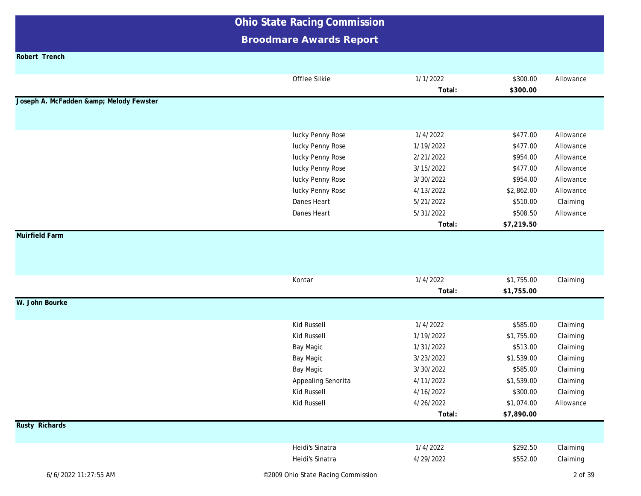### **Broodmare Awards Report**

**Robert Trench**

|                                     | Offlee Silkie                      | 1/1/2022<br>Total: | \$300.00<br>\$300.00 | Allowance |
|-------------------------------------|------------------------------------|--------------------|----------------------|-----------|
| Joseph A. McFadden & Melody Fewster |                                    |                    |                      |           |
|                                     |                                    |                    |                      |           |
|                                     |                                    |                    |                      |           |
|                                     | lucky Penny Rose                   | 1/4/2022           | \$477.00             | Allowance |
|                                     | lucky Penny Rose                   | 1/19/2022          | \$477.00             | Allowance |
|                                     | lucky Penny Rose                   | 2/21/2022          | \$954.00             | Allowance |
|                                     | lucky Penny Rose                   | 3/15/2022          | \$477.00             | Allowance |
|                                     | lucky Penny Rose                   | 3/30/2022          | \$954.00             | Allowance |
|                                     | lucky Penny Rose                   | 4/13/2022          | \$2,862.00           | Allowance |
|                                     | Danes Heart                        | 5/21/2022          | \$510.00             | Claiming  |
|                                     | Danes Heart                        | 5/31/2022          | \$508.50             | Allowance |
|                                     |                                    | Total:             | \$7,219.50           |           |
| <b>Muirfield Farm</b>               |                                    |                    |                      |           |
|                                     |                                    |                    |                      |           |
|                                     |                                    |                    |                      |           |
|                                     |                                    |                    |                      |           |
|                                     | Kontar                             | 1/4/2022           | \$1,755.00           | Claiming  |
|                                     |                                    | Total:             | \$1,755.00           |           |
| W. John Bourke                      |                                    |                    |                      |           |
|                                     |                                    |                    |                      |           |
|                                     | Kid Russell                        | 1/4/2022           | \$585.00             | Claiming  |
|                                     | <b>Kid Russell</b>                 | 1/19/2022          | \$1,755.00           | Claiming  |
|                                     | Bay Magic                          | 1/31/2022          | \$513.00             | Claiming  |
|                                     | Bay Magic                          | 3/23/2022          | \$1,539.00           | Claiming  |
|                                     | Bay Magic                          | 3/30/2022          | \$585.00             | Claiming  |
|                                     | Appealing Senorita                 | 4/11/2022          | \$1,539.00           | Claiming  |
|                                     | Kid Russell                        | 4/16/2022          | \$300.00             | Claiming  |
|                                     | <b>Kid Russell</b>                 | 4/26/2022          | \$1,074.00           | Allowance |
|                                     |                                    | Total:             | \$7,890.00           |           |
| <b>Rusty Richards</b>               |                                    |                    |                      |           |
|                                     |                                    |                    |                      |           |
|                                     | Heidi's Sinatra                    | 1/4/2022           | \$292.50             | Claiming  |
|                                     | Heidi's Sinatra                    | 4/29/2022          | \$552.00             | Claiming  |
| 6/6/2022 11:27:55 AM                | ©2009 Ohio State Racing Commission |                    |                      | 2 of 39   |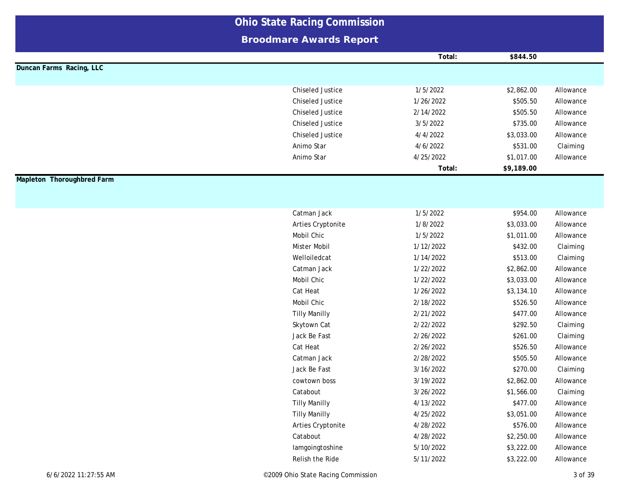|                            | <b>Ohio State Racing Commission</b> |           |            |           |
|----------------------------|-------------------------------------|-----------|------------|-----------|
|                            | <b>Broodmare Awards Report</b>      |           |            |           |
|                            |                                     | Total:    | \$844.50   |           |
| Duncan Farms Racing, LLC   |                                     |           |            |           |
|                            |                                     |           |            |           |
|                            | <b>Chiseled Justice</b>             | 1/5/2022  | \$2,862.00 | Allowance |
|                            | <b>Chiseled Justice</b>             | 1/26/2022 | \$505.50   | Allowance |
|                            | <b>Chiseled Justice</b>             | 2/14/2022 | \$505.50   | Allowance |
|                            | <b>Chiseled Justice</b>             | 3/5/2022  | \$735.00   | Allowance |
|                            | <b>Chiseled Justice</b>             | 4/4/2022  | \$3,033.00 | Allowance |
|                            | Animo Star                          | 4/6/2022  | \$531.00   | Claiming  |
|                            | Animo Star                          | 4/25/2022 | \$1,017.00 | Allowance |
|                            |                                     | Total:    | \$9,189.00 |           |
| Mapleton Thoroughbred Farm |                                     |           |            |           |
|                            |                                     |           |            |           |
|                            |                                     |           |            |           |
|                            | Catman Jack                         | 1/5/2022  | \$954.00   | Allowance |
|                            | Arties Cryptonite                   | 1/8/2022  | \$3,033.00 | Allowance |
|                            | Mobil Chic                          | 1/5/2022  | \$1,011.00 | Allowance |
|                            | <b>Mister Mobil</b>                 | 1/12/2022 | \$432.00   | Claiming  |
|                            | Welloiledcat                        | 1/14/2022 | \$513.00   | Claiming  |
|                            | Catman Jack                         | 1/22/2022 | \$2,862.00 | Allowance |
|                            | Mobil Chic                          | 1/22/2022 | \$3,033.00 | Allowance |
|                            | Cat Heat                            | 1/26/2022 | \$3,134.10 | Allowance |
|                            | Mobil Chic                          | 2/18/2022 | \$526.50   | Allowance |
|                            | <b>Tilly Manilly</b>                | 2/21/2022 | \$477.00   | Allowance |
|                            | Skytown Cat                         | 2/22/2022 | \$292.50   | Claiming  |
|                            | Jack Be Fast                        | 2/26/2022 | \$261.00   | Claiming  |
|                            | Cat Heat                            | 2/26/2022 | \$526.50   | Allowance |
|                            | Catman Jack                         | 2/28/2022 | \$505.50   | Allowance |
|                            | Jack Be Fast                        | 3/16/2022 | \$270.00   | Claiming  |
|                            | cowtown boss                        | 3/19/2022 | \$2,862.00 | Allowance |
|                            | Catabout                            | 3/26/2022 | \$1,566.00 | Claiming  |
|                            | <b>Tilly Manilly</b>                | 4/13/2022 | \$477.00   | Allowance |
|                            | <b>Tilly Manilly</b>                | 4/25/2022 | \$3,051.00 | Allowance |
|                            | Arties Cryptonite                   | 4/28/2022 | \$576.00   | Allowance |
|                            | Catabout                            | 4/28/2022 | \$2,250.00 | Allowance |
|                            | lamgoingtoshine                     | 5/10/2022 | \$3,222.00 | Allowance |
|                            |                                     |           |            |           |
|                            | Relish the Ride                     | 5/11/2022 | \$3,222.00 | Allowance |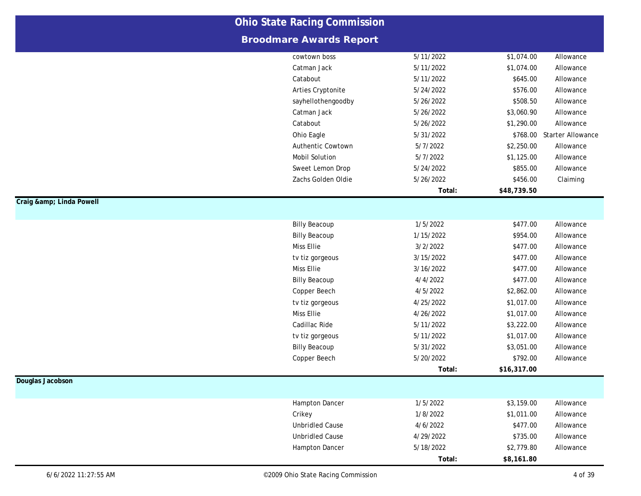|                      |                                    | <b>Ohio State Racing Commission</b> |                      |                          |  |  |  |
|----------------------|------------------------------------|-------------------------------------|----------------------|--------------------------|--|--|--|
|                      | <b>Broodmare Awards Report</b>     |                                     |                      |                          |  |  |  |
|                      | cowtown boss                       | 5/11/2022                           | \$1,074.00           | Allowance                |  |  |  |
|                      | Catman Jack                        | 5/11/2022                           | \$1,074.00           | Allowance                |  |  |  |
|                      | Catabout                           | 5/11/2022                           | \$645.00             | Allowance                |  |  |  |
|                      | Arties Cryptonite                  | 5/24/2022                           | \$576.00             | Allowance                |  |  |  |
|                      | sayhellothengoodby                 | 5/26/2022                           | \$508.50             | Allowance                |  |  |  |
|                      | Catman Jack                        | 5/26/2022                           | \$3,060.90           | Allowance                |  |  |  |
|                      | Catabout                           | 5/26/2022                           | \$1,290.00           | Allowance                |  |  |  |
|                      | Ohio Eagle                         | 5/31/2022                           | \$768.00             | <b>Starter Allowance</b> |  |  |  |
|                      | Authentic Cowtown                  | 5/7/2022                            | \$2,250.00           | Allowance                |  |  |  |
|                      | <b>Mobil Solution</b>              | 5/7/2022                            | \$1,125.00           | Allowance                |  |  |  |
|                      | Sweet Lemon Drop                   | 5/24/2022                           | \$855.00             | Allowance                |  |  |  |
|                      | Zachs Golden Oldie                 | 5/26/2022                           | \$456.00             | Claiming                 |  |  |  |
|                      |                                    | Total:                              | \$48,739.50          |                          |  |  |  |
| Craig & Linda Powell |                                    |                                     |                      |                          |  |  |  |
|                      | <b>Billy Beacoup</b>               | 1/5/2022                            | \$477.00             | Allowance                |  |  |  |
|                      |                                    |                                     |                      | Allowance                |  |  |  |
|                      | <b>Billy Beacoup</b><br>Miss Ellie | 1/15/2022<br>3/2/2022               | \$954.00<br>\$477.00 |                          |  |  |  |
|                      |                                    | 3/15/2022                           | \$477.00             | Allowance<br>Allowance   |  |  |  |
|                      | tv tiz gorgeous                    |                                     |                      |                          |  |  |  |
|                      | Miss Ellie                         | 3/16/2022<br>4/4/2022               | \$477.00<br>\$477.00 | Allowance                |  |  |  |
|                      | <b>Billy Beacoup</b>               |                                     |                      | Allowance                |  |  |  |
|                      | Copper Beech                       | 4/5/2022                            | \$2,862.00           | Allowance                |  |  |  |
|                      | tv tiz gorgeous                    | 4/25/2022                           | \$1,017.00           | Allowance                |  |  |  |
|                      | Miss Ellie                         | 4/26/2022                           | \$1,017.00           | Allowance                |  |  |  |
|                      | Cadillac Ride                      | 5/11/2022                           | \$3,222.00           | Allowance                |  |  |  |
|                      | tv tiz gorgeous                    | 5/11/2022                           | \$1,017.00           | Allowance                |  |  |  |
|                      | <b>Billy Beacoup</b>               | 5/31/2022                           | \$3,051.00           | Allowance                |  |  |  |
|                      | Copper Beech                       | 5/20/2022                           | \$792.00             | Allowance                |  |  |  |
|                      |                                    | Total:                              | \$16,317.00          |                          |  |  |  |
| Douglas Jacobson     |                                    |                                     |                      |                          |  |  |  |
|                      | Hampton Dancer                     | 1/5/2022                            | \$3,159.00           | Allowance                |  |  |  |
|                      | Crikey                             | 1/8/2022                            | \$1,011.00           | Allowance                |  |  |  |
|                      | <b>Unbridled Cause</b>             | 4/6/2022                            | \$477.00             | Allowance                |  |  |  |
|                      | <b>Unbridled Cause</b>             | 4/29/2022                           | \$735.00             | Allowance                |  |  |  |
|                      | Hampton Dancer                     | 5/18/2022                           | \$2,779.80           | Allowance                |  |  |  |
|                      |                                    | Total:                              | \$8,161.80           |                          |  |  |  |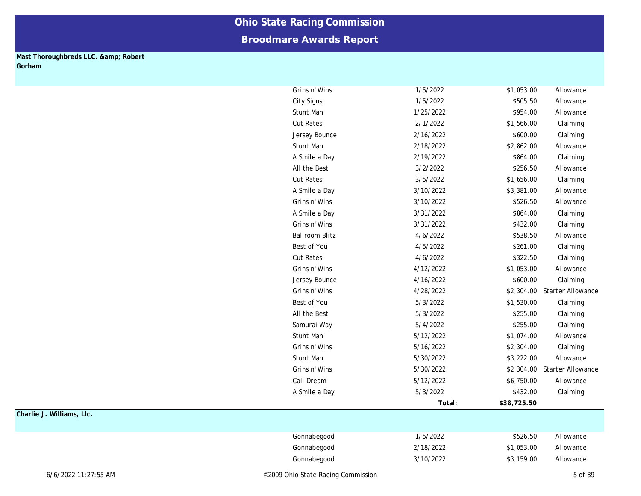### **Broodmare Awards Report**

#### **Mast Thoroughbreds LLC. & amp; Robert Gorham**

| Grins n' Wins         | 1/5/2022  | \$1,053.00  | Allowance                |
|-----------------------|-----------|-------------|--------------------------|
| <b>City Signs</b>     | 1/5/2022  | \$505.50    | Allowance                |
| <b>Stunt Man</b>      | 1/25/2022 | \$954.00    | Allowance                |
| <b>Cut Rates</b>      | 2/1/2022  | \$1,566.00  | Claiming                 |
| Jersey Bounce         | 2/16/2022 | \$600.00    | Claiming                 |
| <b>Stunt Man</b>      | 2/18/2022 | \$2,862.00  | Allowance                |
| A Smile a Day         | 2/19/2022 | \$864.00    | Claiming                 |
| All the Best          | 3/2/2022  | \$256.50    | Allowance                |
| <b>Cut Rates</b>      | 3/5/2022  | \$1,656.00  | Claiming                 |
| A Smile a Day         | 3/10/2022 | \$3,381.00  | Allowance                |
| Grins n' Wins         | 3/10/2022 | \$526.50    | Allowance                |
| A Smile a Day         | 3/31/2022 | \$864.00    | Claiming                 |
| Grins n' Wins         | 3/31/2022 | \$432.00    | Claiming                 |
| <b>Ballroom Blitz</b> | 4/6/2022  | \$538.50    | Allowance                |
| Best of You           | 4/5/2022  | \$261.00    | Claiming                 |
| <b>Cut Rates</b>      | 4/6/2022  | \$322.50    | Claiming                 |
| Grins n' Wins         | 4/12/2022 | \$1,053.00  | Allowance                |
| Jersey Bounce         | 4/16/2022 | \$600.00    | Claiming                 |
| Grins n' Wins         | 4/28/2022 | \$2,304.00  | <b>Starter Allowance</b> |
| Best of You           | 5/3/2022  | \$1,530.00  | Claiming                 |
| All the Best          | 5/3/2022  | \$255.00    | Claiming                 |
| Samurai Way           | 5/4/2022  | \$255.00    | Claiming                 |
| <b>Stunt Man</b>      | 5/12/2022 | \$1,074.00  | Allowance                |
| Grins n' Wins         | 5/16/2022 | \$2,304.00  | Claiming                 |
| <b>Stunt Man</b>      | 5/30/2022 | \$3,222.00  | Allowance                |
| Grins n' Wins         | 5/30/2022 | \$2,304.00  | Starter Allowance        |
| Cali Dream            | 5/12/2022 | \$6,750.00  | Allowance                |
| A Smile a Day         | 5/3/2022  | \$432.00    | Claiming                 |
|                       | Total:    | \$38,725.50 |                          |
|                       |           |             |                          |
|                       |           |             |                          |
| Gonnabegood           | 1/5/2022  | \$526.50    | Allowance                |
| Gonnabegood           | 2/18/2022 | \$1,053.00  | Allowance                |
| Gonnabegood           | 3/10/2022 | \$3,159.00  | Allowance                |
|                       |           |             |                          |

**Charlie J. Williams, Llc.**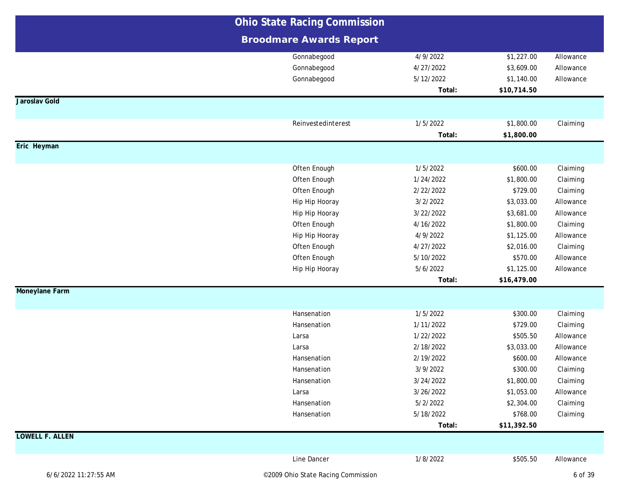|                        | <b>Ohio State Racing Commission</b> |           |             |           |
|------------------------|-------------------------------------|-----------|-------------|-----------|
|                        | <b>Broodmare Awards Report</b>      |           |             |           |
|                        | Gonnabegood                         | 4/9/2022  | \$1,227.00  | Allowance |
|                        | Gonnabegood                         | 4/27/2022 | \$3,609.00  | Allowance |
|                        | Gonnabegood                         | 5/12/2022 | \$1,140.00  | Allowance |
|                        |                                     | Total:    | \$10,714.50 |           |
| Jaroslav Gold          |                                     |           |             |           |
|                        | Reinvestedinterest                  | 1/5/2022  | \$1,800.00  |           |
|                        |                                     | Total:    | \$1,800.00  | Claiming  |
| Eric Heyman            |                                     |           |             |           |
|                        |                                     |           |             |           |
|                        | Often Enough                        | 1/5/2022  | \$600.00    | Claiming  |
|                        | Often Enough                        | 1/24/2022 | \$1,800.00  | Claiming  |
|                        | Often Enough                        | 2/22/2022 | \$729.00    | Claiming  |
|                        | Hip Hip Hooray                      | 3/2/2022  | \$3,033.00  | Allowance |
|                        | Hip Hip Hooray                      | 3/22/2022 | \$3,681.00  | Allowance |
|                        | Often Enough                        | 4/16/2022 | \$1,800.00  | Claiming  |
|                        | Hip Hip Hooray                      | 4/9/2022  | \$1,125.00  | Allowance |
|                        | Often Enough                        | 4/27/2022 | \$2,016.00  | Claiming  |
|                        | Often Enough                        | 5/10/2022 | \$570.00    | Allowance |
|                        | Hip Hip Hooray                      | 5/6/2022  | \$1,125.00  | Allowance |
|                        |                                     | Total:    | \$16,479.00 |           |
| Moneylane Farm         |                                     |           |             |           |
|                        | Hansenation                         | 1/5/2022  | \$300.00    | Claiming  |
|                        | Hansenation                         | 1/11/2022 | \$729.00    | Claiming  |
|                        | Larsa                               | 1/22/2022 | \$505.50    | Allowance |
|                        | Larsa                               | 2/18/2022 | \$3,033.00  | Allowance |
|                        | Hansenation                         | 2/19/2022 | \$600.00    | Allowance |
|                        | Hansenation                         | 3/9/2022  | \$300.00    | Claiming  |
|                        | Hansenation                         | 3/24/2022 | \$1,800.00  | Claiming  |
|                        | Larsa                               | 3/26/2022 | \$1,053.00  | Allowance |
|                        | Hansenation                         | 5/2/2022  | \$2,304.00  | Claiming  |
|                        | Hansenation                         | 5/18/2022 | \$768.00    | Claiming  |
|                        |                                     | Total:    | \$11,392.50 |           |
| <b>LOWELL F. ALLEN</b> |                                     |           |             |           |
|                        | Line Dancer                         | 1/8/2022  | \$505.50    | Allowance |
| 6/6/2022 11:27:55 AM   | ©2009 Ohio State Racing Commission  |           |             | 6 of 39   |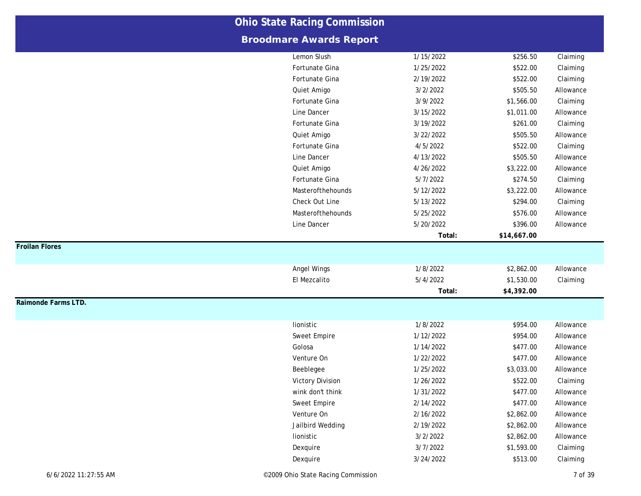|                       | <b>Ohio State Racing Commission</b> |           |             |           |
|-----------------------|-------------------------------------|-----------|-------------|-----------|
|                       | <b>Broodmare Awards Report</b>      |           |             |           |
|                       | Lemon Slush                         | 1/15/2022 | \$256.50    | Claiming  |
|                       | Fortunate Gina                      | 1/25/2022 | \$522.00    | Claiming  |
|                       | Fortunate Gina                      | 2/19/2022 | \$522.00    | Claiming  |
|                       | Quiet Amigo                         | 3/2/2022  | \$505.50    | Allowance |
|                       | Fortunate Gina                      | 3/9/2022  | \$1,566.00  | Claiming  |
|                       | Line Dancer                         | 3/15/2022 | \$1,011.00  | Allowance |
|                       | Fortunate Gina                      | 3/19/2022 | \$261.00    | Claiming  |
|                       | Quiet Amigo                         | 3/22/2022 | \$505.50    | Allowance |
|                       | Fortunate Gina                      | 4/5/2022  | \$522.00    | Claiming  |
|                       | Line Dancer                         | 4/13/2022 | \$505.50    | Allowance |
|                       | Quiet Amigo                         | 4/26/2022 | \$3,222.00  | Allowance |
|                       | Fortunate Gina                      | 5/7/2022  | \$274.50    | Claiming  |
|                       | Masterofthehounds                   | 5/12/2022 | \$3,222.00  | Allowance |
|                       | Check Out Line                      | 5/13/2022 | \$294.00    | Claiming  |
|                       | Masterofthehounds                   | 5/25/2022 | \$576.00    | Allowance |
|                       | Line Dancer                         | 5/20/2022 | \$396.00    | Allowance |
|                       |                                     | Total:    | \$14,667.00 |           |
| <b>Froilan Flores</b> |                                     |           |             |           |
|                       | Angel Wings                         | 1/8/2022  | \$2,862.00  | Allowance |
|                       | El Mezcalito                        | 5/4/2022  | \$1,530.00  | Claiming  |
|                       |                                     | Total:    | \$4,392.00  |           |
| Raimonde Farms LTD.   |                                     |           |             |           |
|                       | lionistic                           | 1/8/2022  | \$954.00    | Allowance |
|                       | Sweet Empire                        | 1/12/2022 | \$954.00    | Allowance |
|                       | Golosa                              | 1/14/2022 | \$477.00    | Allowance |
|                       | Venture On                          | 1/22/2022 | \$477.00    | Allowance |
|                       | Beeblegee                           | 1/25/2022 | \$3,033.00  | Allowance |
|                       | <b>Victory Division</b>             | 1/26/2022 | \$522.00    | Claiming  |
|                       | wink don't think                    | 1/31/2022 | \$477.00    | Allowance |
|                       | Sweet Empire                        | 2/14/2022 | \$477.00    | Allowance |
|                       | Venture On                          | 2/16/2022 | \$2,862.00  | Allowance |
|                       |                                     |           |             |           |
|                       |                                     | 2/19/2022 | \$2,862.00  | Allowance |
|                       | Jailbird Wedding<br>lionistic       | 3/2/2022  | \$2,862.00  | Allowance |
|                       | Dexquire                            | 3/7/2022  | \$1,593.00  | Claiming  |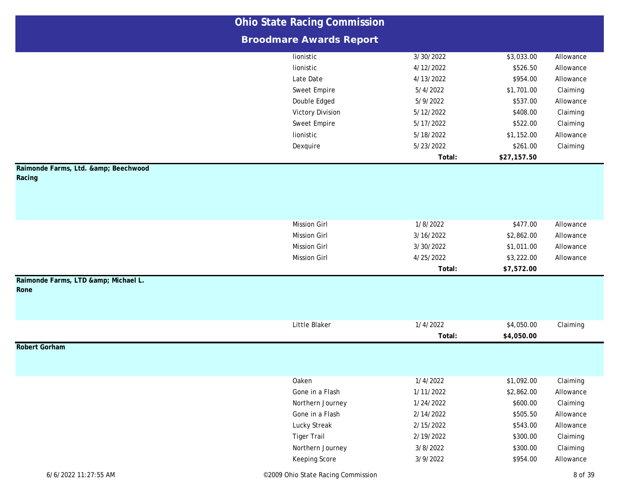|                                          | <b>Ohio State Racing Commission</b> |           |             |           |
|------------------------------------------|-------------------------------------|-----------|-------------|-----------|
|                                          | <b>Broodmare Awards Report</b>      |           |             |           |
|                                          | lionistic                           | 3/30/2022 | \$3,033.00  | Allowance |
|                                          | lionistic                           | 4/12/2022 | \$526.50    | Allowance |
|                                          | Late Date                           | 4/13/2022 | \$954.00    | Allowance |
|                                          | Sweet Empire                        | 5/4/2022  | \$1,701.00  | Claiming  |
|                                          | Double Edged                        | 5/9/2022  | \$537.00    | Allowance |
|                                          | <b>Victory Division</b>             | 5/12/2022 | \$408.00    | Claiming  |
|                                          | Sweet Empire                        | 5/17/2022 | \$522.00    | Claiming  |
|                                          | lionistic                           | 5/18/2022 | \$1,152.00  | Allowance |
|                                          | Dexquire                            | 5/23/2022 | \$261.00    | Claiming  |
|                                          |                                     | Total:    | \$27,157.50 |           |
| Raimonde Farms, Ltd. & Beechwood         |                                     |           |             |           |
| Racing                                   |                                     |           |             |           |
|                                          |                                     |           |             |           |
|                                          |                                     |           |             |           |
|                                          |                                     |           |             |           |
|                                          | <b>Mission Girl</b>                 | 1/8/2022  | \$477.00    | Allowance |
|                                          | <b>Mission Girl</b>                 | 3/16/2022 | \$2,862.00  | Allowance |
|                                          | <b>Mission Girl</b>                 | 3/30/2022 | \$1,011.00  | Allowance |
|                                          | <b>Mission Girl</b>                 | 4/25/2022 | \$3,222.00  | Allowance |
|                                          |                                     | Total:    | \$7,572.00  |           |
| Raimonde Farms, LTD & Michael L.<br>Rone |                                     |           |             |           |
|                                          |                                     |           |             |           |
|                                          |                                     |           |             |           |
|                                          |                                     |           |             |           |
|                                          | Little Blaker                       | 1/4/2022  | \$4,050.00  | Claiming  |
| <b>Robert Gorham</b>                     |                                     | Total:    | \$4,050.00  |           |
|                                          |                                     |           |             |           |
|                                          |                                     |           |             |           |
|                                          | Oaken                               | 1/4/2022  | \$1,092.00  | Claiming  |
|                                          | Gone in a Flash                     | 1/11/2022 | \$2,862.00  | Allowance |
|                                          | Northern Journey                    | 1/24/2022 | \$600.00    | Claiming  |
|                                          | Gone in a Flash                     | 2/14/2022 | \$505.50    | Allowance |
|                                          | Lucky Streak                        | 2/15/2022 | \$543.00    | Allowance |
|                                          | <b>Tiger Trail</b>                  | 2/19/2022 | \$300.00    | Claiming  |
|                                          | Northern Journey                    | 3/8/2022  | \$300.00    | Claiming  |
|                                          | Keeping Score                       | 3/9/2022  | \$954.00    | Allowance |
|                                          |                                     |           |             |           |
| 6/6/2022 11:27:55 AM                     | ©2009 Ohio State Racing Commission  |           |             | 8 of 39   |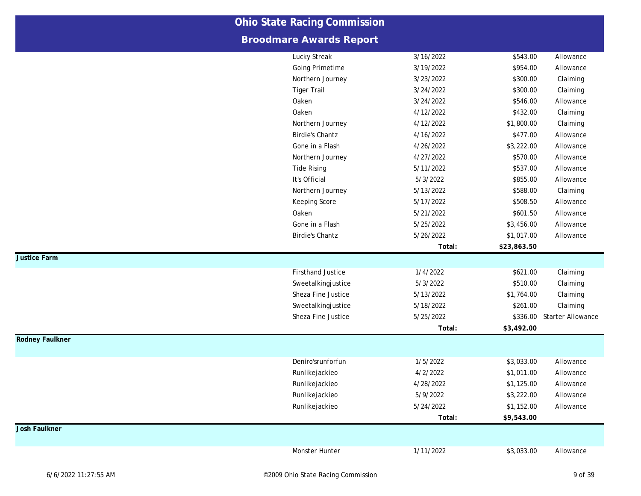|                        | <b>Ohio State Racing Commission</b> |           |             |                            |
|------------------------|-------------------------------------|-----------|-------------|----------------------------|
|                        | <b>Broodmare Awards Report</b>      |           |             |                            |
|                        | Lucky Streak                        | 3/16/2022 | \$543.00    | Allowance                  |
|                        | Going Primetime                     | 3/19/2022 | \$954.00    | Allowance                  |
|                        | Northern Journey                    | 3/23/2022 | \$300.00    | Claiming                   |
|                        | <b>Tiger Trail</b>                  | 3/24/2022 | \$300.00    | Claiming                   |
|                        | Oaken                               | 3/24/2022 | \$546.00    | Allowance                  |
|                        | Oaken                               | 4/12/2022 | \$432.00    | Claiming                   |
|                        | Northern Journey                    | 4/12/2022 | \$1,800.00  | Claiming                   |
|                        | <b>Birdie's Chantz</b>              | 4/16/2022 | \$477.00    | Allowance                  |
|                        | Gone in a Flash                     | 4/26/2022 | \$3,222.00  | Allowance                  |
|                        | Northern Journey                    | 4/27/2022 | \$570.00    | Allowance                  |
|                        | <b>Tide Rising</b>                  | 5/11/2022 | \$537.00    | Allowance                  |
|                        | It's Official                       | 5/3/2022  | \$855.00    | Allowance                  |
|                        | Northern Journey                    | 5/13/2022 | \$588.00    | Claiming                   |
|                        | Keeping Score                       | 5/17/2022 | \$508.50    | Allowance                  |
|                        | Oaken                               | 5/21/2022 | \$601.50    | Allowance                  |
|                        | Gone in a Flash                     | 5/25/2022 | \$3,456.00  | Allowance                  |
|                        | <b>Birdie's Chantz</b>              | 5/26/2022 | \$1,017.00  | Allowance                  |
|                        |                                     | Total:    | \$23,863.50 |                            |
| <b>Justice Farm</b>    |                                     |           |             |                            |
|                        | <b>Firsthand Justice</b>            | 1/4/2022  | \$621.00    | Claiming                   |
|                        | Sweetalkingjustice                  | 5/3/2022  | \$510.00    | Claiming                   |
|                        | Sheza Fine Justice                  | 5/13/2022 | \$1,764.00  | Claiming                   |
|                        | Sweetalkingjustice                  | 5/18/2022 | \$261.00    | Claiming                   |
|                        | Sheza Fine Justice                  | 5/25/2022 |             | \$336.00 Starter Allowance |
|                        |                                     | Total:    | \$3,492.00  |                            |
| <b>Rodney Faulkner</b> |                                     |           |             |                            |
|                        | Deniro'srunforfun                   | 1/5/2022  | \$3,033.00  | Allowance                  |
|                        | Runlikejackieo                      | 4/2/2022  | \$1,011.00  | Allowance                  |
|                        | Runlikejackieo                      | 4/28/2022 | \$1,125.00  | Allowance                  |
|                        | Runlikejackieo                      | 5/9/2022  | \$3,222.00  | Allowance                  |
|                        | Runlikejackieo                      | 5/24/2022 | \$1,152.00  | Allowance                  |
|                        |                                     | Total:    | \$9,543.00  |                            |
| <b>Josh Faulkner</b>   |                                     |           |             |                            |
|                        | Monster Hunter                      | 1/11/2022 | \$3,033.00  | Allowance                  |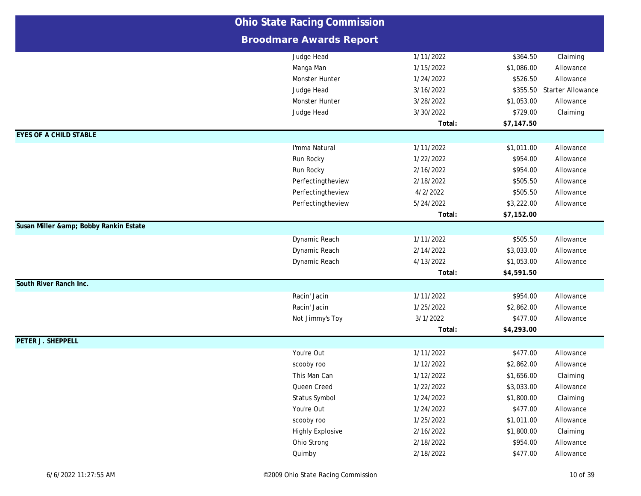|                                    | <b>Ohio State Racing Commission</b> |           |            |                   |
|------------------------------------|-------------------------------------|-----------|------------|-------------------|
|                                    | <b>Broodmare Awards Report</b>      |           |            |                   |
|                                    | Judge Head                          | 1/11/2022 | \$364.50   | Claiming          |
|                                    | Manga Man                           | 1/15/2022 | \$1,086.00 | Allowance         |
|                                    | Monster Hunter                      | 1/24/2022 | \$526.50   | Allowance         |
|                                    | Judge Head                          | 3/16/2022 | \$355.50   | Starter Allowance |
|                                    | Monster Hunter                      | 3/28/2022 | \$1,053.00 | Allowance         |
|                                    | Judge Head                          | 3/30/2022 | \$729.00   | Claiming          |
|                                    |                                     | Total:    | \$7,147.50 |                   |
| <b>EYES OF A CHILD STABLE</b>      |                                     |           |            |                   |
|                                    | I'mma Natural                       | 1/11/2022 | \$1,011.00 | Allowance         |
|                                    | Run Rocky                           | 1/22/2022 | \$954.00   | Allowance         |
|                                    | Run Rocky                           | 2/16/2022 | \$954.00   | Allowance         |
|                                    | Perfectingtheview                   | 2/18/2022 | \$505.50   | Allowance         |
|                                    | Perfectingtheview                   | 4/2/2022  | \$505.50   | Allowance         |
|                                    | Perfectingtheview                   | 5/24/2022 | \$3,222.00 | Allowance         |
|                                    |                                     | Total:    | \$7,152.00 |                   |
| Susan Miller & Bobby Rankin Estate |                                     |           |            |                   |
|                                    | Dynamic Reach                       | 1/11/2022 | \$505.50   | Allowance         |
|                                    | Dynamic Reach                       | 2/14/2022 | \$3,033.00 | Allowance         |
|                                    | Dynamic Reach                       | 4/13/2022 | \$1,053.00 | Allowance         |
|                                    |                                     | Total:    | \$4,591.50 |                   |
| South River Ranch Inc.             |                                     |           |            |                   |
|                                    | Racin' Jacin                        | 1/11/2022 | \$954.00   | Allowance         |
|                                    | Racin' Jacin                        | 1/25/2022 | \$2,862.00 | Allowance         |
|                                    | Not Jimmy's Toy                     | 3/1/2022  | \$477.00   | Allowance         |
|                                    |                                     | Total:    | \$4,293.00 |                   |
| PETER J. SHEPPELL                  |                                     |           |            |                   |
|                                    | You're Out                          | 1/11/2022 | \$477.00   | Allowance         |
|                                    | scooby roo                          | 1/12/2022 | \$2,862.00 | Allowance         |
|                                    | This Man Can                        | 1/12/2022 | \$1,656.00 | Claiming          |
|                                    | Queen Creed                         | 1/22/2022 | \$3,033.00 | Allowance         |
|                                    | Status Symbol                       | 1/24/2022 | \$1,800.00 | Claiming          |
|                                    | You're Out                          | 1/24/2022 | \$477.00   | Allowance         |
|                                    | scooby roo                          | 1/25/2022 | \$1,011.00 | Allowance         |
|                                    | <b>Highly Explosive</b>             | 2/16/2022 | \$1,800.00 | Claiming          |
|                                    | Ohio Strong                         | 2/18/2022 | \$954.00   | Allowance         |
|                                    | Quimby                              | 2/18/2022 | \$477.00   | Allowance         |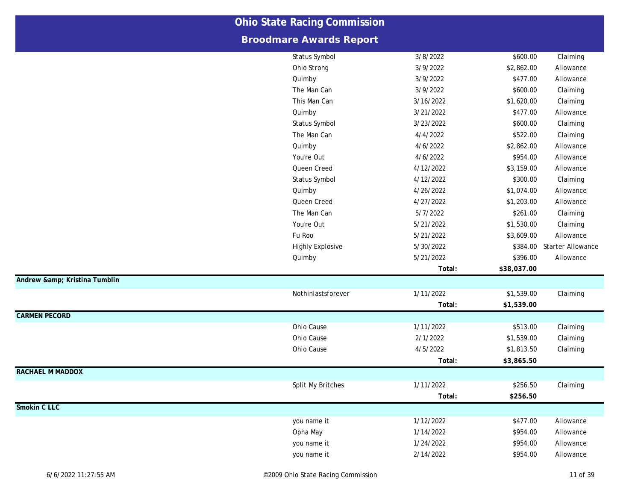|                           | <b>Ohio State Racing Commission</b> |           |             |                   |
|---------------------------|-------------------------------------|-----------|-------------|-------------------|
|                           | <b>Broodmare Awards Report</b>      |           |             |                   |
|                           | Status Symbol                       | 3/8/2022  | \$600.00    | Claiming          |
|                           | Ohio Strong                         | 3/9/2022  | \$2,862.00  | Allowance         |
|                           | Quimby                              | 3/9/2022  | \$477.00    | Allowance         |
|                           | The Man Can                         | 3/9/2022  | \$600.00    | Claiming          |
|                           | This Man Can                        | 3/16/2022 | \$1,620.00  | Claiming          |
|                           | Quimby                              | 3/21/2022 | \$477.00    | Allowance         |
|                           | Status Symbol                       | 3/23/2022 | \$600.00    | Claiming          |
|                           | The Man Can                         | 4/4/2022  | \$522.00    | Claiming          |
|                           | Quimby                              | 4/6/2022  | \$2,862.00  | Allowance         |
|                           | You're Out                          | 4/6/2022  | \$954.00    | Allowance         |
|                           | Queen Creed                         | 4/12/2022 | \$3,159.00  | Allowance         |
|                           | Status Symbol                       | 4/12/2022 | \$300.00    | Claiming          |
|                           | Quimby                              | 4/26/2022 | \$1,074.00  | Allowance         |
|                           | Queen Creed                         | 4/27/2022 | \$1,203.00  | Allowance         |
|                           | The Man Can                         | 5/7/2022  | \$261.00    | Claiming          |
|                           | You're Out                          | 5/21/2022 | \$1,530.00  | Claiming          |
|                           | Fu Roo                              | 5/21/2022 | \$3,609.00  | Allowance         |
|                           | <b>Highly Explosive</b>             | 5/30/2022 | \$384.00    | Starter Allowance |
|                           | Quimby                              | 5/21/2022 | \$396.00    | Allowance         |
|                           |                                     | Total:    | \$38,037.00 |                   |
| Andrew & Kristina Tumblin |                                     |           |             |                   |
|                           | Nothinlastsforever                  | 1/11/2022 | \$1,539.00  | Claiming          |
|                           |                                     | Total:    | \$1,539.00  |                   |
| <b>CARMEN PECORD</b>      |                                     |           |             |                   |
|                           | Ohio Cause                          | 1/11/2022 | \$513.00    | Claiming          |
|                           | Ohio Cause                          | 2/1/2022  | \$1,539.00  | Claiming          |
|                           | Ohio Cause                          | 4/5/2022  | \$1,813.50  | Claiming          |
|                           |                                     | Total:    | \$3,865.50  |                   |
| <b>RACHAEL M MADDOX</b>   |                                     |           |             |                   |
|                           | Split My Britches                   | 1/11/2022 | \$256.50    | Claiming          |
|                           |                                     | Total:    | \$256.50    |                   |
| Smokin C LLC              |                                     |           |             |                   |
|                           | you name it                         | 1/12/2022 | \$477.00    | Allowance         |
|                           | Opha May                            | 1/14/2022 | \$954.00    | Allowance         |
|                           | you name it                         | 1/24/2022 | \$954.00    | Allowance         |
|                           | you name it                         | 2/14/2022 | \$954.00    | Allowance         |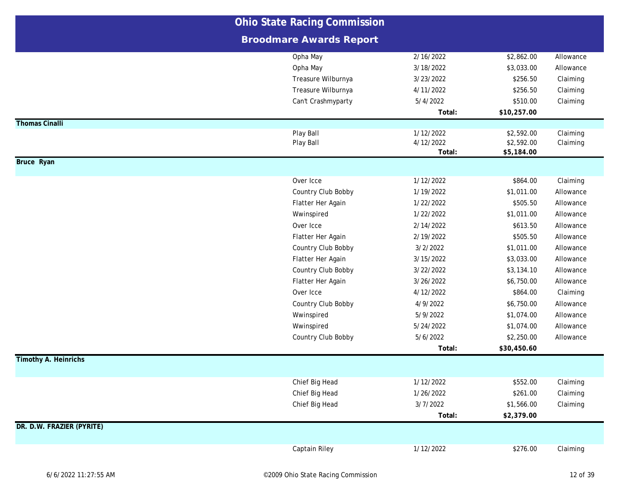|                             | <b>Ohio State Racing Commission</b> |           |             |           |
|-----------------------------|-------------------------------------|-----------|-------------|-----------|
|                             | <b>Broodmare Awards Report</b>      |           |             |           |
|                             | Opha May                            | 2/16/2022 | \$2,862.00  | Allowance |
|                             | Opha May                            | 3/18/2022 | \$3,033.00  | Allowance |
|                             | Treasure Wilburnya                  | 3/23/2022 | \$256.50    | Claiming  |
|                             | Treasure Wilburnya                  | 4/11/2022 | \$256.50    | Claiming  |
|                             | Can't Crashmyparty                  | 5/4/2022  | \$510.00    | Claiming  |
|                             |                                     | Total:    | \$10,257.00 |           |
| <b>Thomas Cinalli</b>       |                                     |           |             |           |
|                             | Play Ball                           | 1/12/2022 | \$2,592.00  | Claiming  |
|                             | Play Ball                           | 4/12/2022 | \$2,592.00  | Claiming  |
| <b>Bruce Ryan</b>           |                                     | Total:    | \$5,184.00  |           |
|                             |                                     |           |             |           |
|                             | Over Icce                           | 1/12/2022 | \$864.00    | Claiming  |
|                             | Country Club Bobby                  | 1/19/2022 | \$1,011.00  | Allowance |
|                             | Flatter Her Again                   | 1/22/2022 | \$505.50    | Allowance |
|                             | Wwinspired                          | 1/22/2022 | \$1,011.00  | Allowance |
|                             | Over Icce                           | 2/14/2022 | \$613.50    | Allowance |
|                             | Flatter Her Again                   | 2/19/2022 | \$505.50    | Allowance |
|                             | Country Club Bobby                  | 3/2/2022  | \$1,011.00  | Allowance |
|                             | Flatter Her Again                   | 3/15/2022 | \$3,033.00  | Allowance |
|                             | Country Club Bobby                  | 3/22/2022 | \$3,134.10  | Allowance |
|                             | Flatter Her Again                   | 3/26/2022 | \$6,750.00  | Allowance |
|                             | Over Icce                           | 4/12/2022 | \$864.00    | Claiming  |
|                             | Country Club Bobby                  | 4/9/2022  | \$6,750.00  | Allowance |
|                             | Wwinspired                          | 5/9/2022  | \$1,074.00  | Allowance |
|                             | Wwinspired                          | 5/24/2022 | \$1,074.00  | Allowance |
|                             | Country Club Bobby                  | 5/6/2022  | \$2,250.00  | Allowance |
|                             |                                     | Total:    | \$30,450.60 |           |
| <b>Timothy A. Heinrichs</b> |                                     |           |             |           |
|                             | Chief Big Head                      | 1/12/2022 | \$552.00    | Claiming  |
|                             | Chief Big Head                      | 1/26/2022 | \$261.00    | Claiming  |
|                             | Chief Big Head                      | 3/7/2022  | \$1,566.00  | Claiming  |
|                             |                                     | Total:    | \$2,379.00  |           |
| DR. D.W. FRAZIER (PYRITE)   |                                     |           |             |           |
|                             | Captain Riley                       | 1/12/2022 | \$276.00    | Claiming  |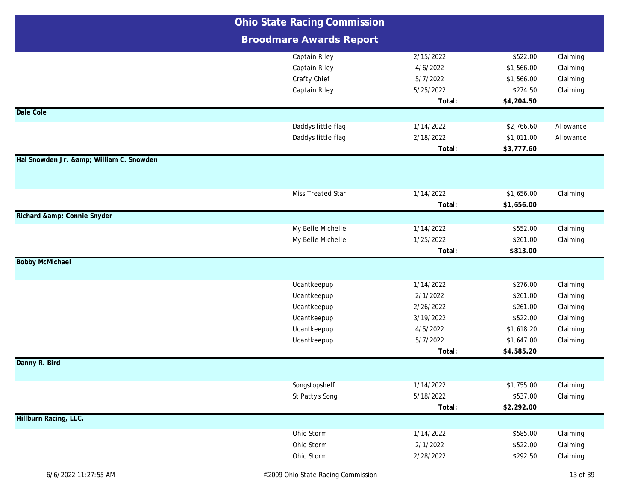|                                      | <b>Ohio State Racing Commission</b> |           |            |           |
|--------------------------------------|-------------------------------------|-----------|------------|-----------|
|                                      | <b>Broodmare Awards Report</b>      |           |            |           |
|                                      | Captain Riley                       | 2/15/2022 | \$522.00   | Claiming  |
|                                      | <b>Captain Riley</b>                | 4/6/2022  | \$1,566.00 | Claiming  |
|                                      | Crafty Chief                        | 5/7/2022  | \$1,566.00 | Claiming  |
|                                      | Captain Riley                       | 5/25/2022 | \$274.50   | Claiming  |
|                                      |                                     | Total:    | \$4,204.50 |           |
| Dale Cole                            |                                     |           |            |           |
|                                      | Daddys little flag                  | 1/14/2022 | \$2,766.60 | Allowance |
|                                      | Daddys little flag                  | 2/18/2022 | \$1,011.00 | Allowance |
|                                      |                                     | Total:    | \$3,777.60 |           |
| Hal Snowden Jr. & William C. Snowden |                                     |           |            |           |
|                                      |                                     |           |            |           |
|                                      | Miss Treated Star                   | 1/14/2022 | \$1,656.00 | Claiming  |
|                                      |                                     | Total:    | \$1,656.00 |           |
| Richard & Connie Snyder              |                                     |           |            |           |
|                                      | My Belle Michelle                   | 1/14/2022 | \$552.00   | Claiming  |
|                                      | My Belle Michelle                   | 1/25/2022 | \$261.00   | Claiming  |
|                                      |                                     | Total:    | \$813.00   |           |
| <b>Bobby McMichael</b>               |                                     |           |            |           |
|                                      | Ucantkeepup                         | 1/14/2022 | \$276.00   | Claiming  |
|                                      | Ucantkeepup                         | 2/1/2022  | \$261.00   | Claiming  |
|                                      | Ucantkeepup                         | 2/26/2022 | \$261.00   | Claiming  |
|                                      | Ucantkeepup                         | 3/19/2022 | \$522.00   | Claiming  |
|                                      | Ucantkeepup                         | 4/5/2022  | \$1,618.20 | Claiming  |
|                                      | Ucantkeepup                         | 5/7/2022  | \$1,647.00 | Claiming  |
|                                      |                                     | Total:    | \$4,585.20 |           |
| Danny R. Bird                        |                                     |           |            |           |
|                                      | Songstopshelf                       | 1/14/2022 | \$1,755.00 | Claiming  |
|                                      | St Patty's Song                     | 5/18/2022 | \$537.00   | Claiming  |
|                                      |                                     | Total:    | \$2,292.00 |           |
| Hillburn Racing, LLC.                |                                     |           |            |           |
|                                      | Ohio Storm                          | 1/14/2022 | \$585.00   | Claiming  |
|                                      | Ohio Storm                          | 2/1/2022  | \$522.00   | Claiming  |
|                                      | Ohio Storm                          | 2/28/2022 | \$292.50   | Claiming  |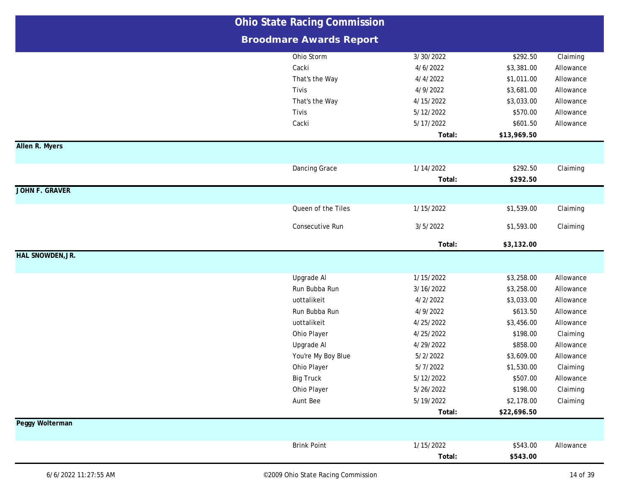|                         | <b>Ohio State Racing Commission</b> |           |             |           |
|-------------------------|-------------------------------------|-----------|-------------|-----------|
|                         | <b>Broodmare Awards Report</b>      |           |             |           |
|                         | Ohio Storm                          | 3/30/2022 | \$292.50    | Claiming  |
|                         | Cacki                               | 4/6/2022  | \$3,381.00  | Allowance |
|                         | That's the Way                      | 4/4/2022  | \$1,011.00  | Allowance |
|                         | Tivis                               | 4/9/2022  | \$3,681.00  | Allowance |
|                         | That's the Way                      | 4/15/2022 | \$3,033.00  | Allowance |
|                         | Tivis                               | 5/12/2022 | \$570.00    | Allowance |
|                         | Cacki                               | 5/17/2022 | \$601.50    | Allowance |
|                         |                                     | Total:    | \$13,969.50 |           |
| Allen R. Myers          |                                     |           |             |           |
|                         | Dancing Grace                       | 1/14/2022 | \$292.50    | Claiming  |
|                         |                                     | Total:    | \$292.50    |           |
| <b>JOHN F. GRAVER</b>   |                                     |           |             |           |
|                         | Queen of the Tiles                  | 1/15/2022 | \$1,539.00  | Claiming  |
|                         | Consecutive Run                     | 3/5/2022  | \$1,593.00  | Claiming  |
|                         |                                     | Total:    | \$3,132.00  |           |
| <b>HAL SNOWDEN, JR.</b> |                                     |           |             |           |
|                         | Upgrade Al                          | 1/15/2022 | \$3,258.00  | Allowance |
|                         | Run Bubba Run                       | 3/16/2022 | \$3,258.00  | Allowance |
|                         | uottalikeit                         | 4/2/2022  | \$3,033.00  | Allowance |
|                         | Run Bubba Run                       | 4/9/2022  | \$613.50    | Allowance |
|                         | uottalikeit                         | 4/25/2022 | \$3,456.00  | Allowance |
|                         | Ohio Player                         | 4/25/2022 | \$198.00    | Claiming  |
|                         | Upgrade AI                          | 4/29/2022 | \$858.00    | Allowance |
|                         | You're My Boy Blue                  | 5/2/2022  | \$3,609.00  | Allowance |
|                         | Ohio Player                         | 5/7/2022  | \$1,530.00  | Claiming  |
|                         | <b>Big Truck</b>                    | 5/12/2022 | \$507.00    | Allowance |
|                         | Ohio Player                         | 5/26/2022 | \$198.00    | Claiming  |
|                         | Aunt Bee                            | 5/19/2022 | \$2,178.00  | Claiming  |
|                         |                                     | Total:    | \$22,696.50 |           |
| Peggy Wolterman         |                                     |           |             |           |
|                         | <b>Brink Point</b>                  | 1/15/2022 | \$543.00    | Allowance |
|                         |                                     | Total:    | \$543.00    |           |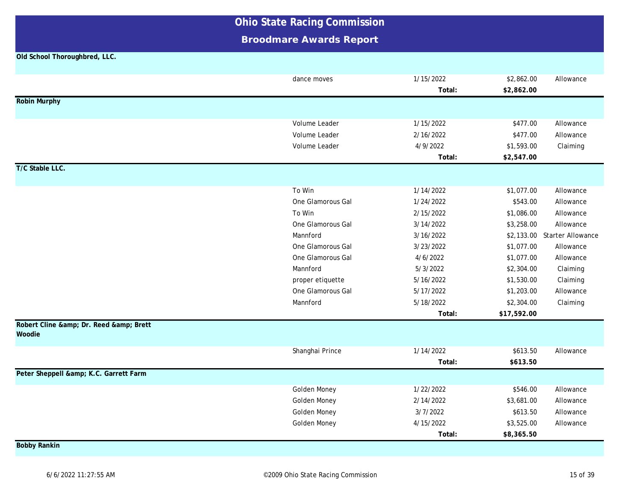### **Broodmare Awards Report**

#### **Old School Thoroughbred, LLC.**

|                                    | dance moves       | 1/15/2022 | \$2,862.00  | Allowance                    |
|------------------------------------|-------------------|-----------|-------------|------------------------------|
|                                    |                   | Total:    | \$2,862.00  |                              |
| <b>Robin Murphy</b>                |                   |           |             |                              |
|                                    |                   |           |             |                              |
|                                    | Volume Leader     | 1/15/2022 | \$477.00    | Allowance                    |
|                                    | Volume Leader     | 2/16/2022 | \$477.00    | Allowance                    |
|                                    | Volume Leader     | 4/9/2022  | \$1,593.00  | Claiming                     |
|                                    |                   | Total:    | \$2,547.00  |                              |
| T/C Stable LLC.                    |                   |           |             |                              |
|                                    |                   |           |             |                              |
|                                    | To Win            | 1/14/2022 | \$1,077.00  | Allowance                    |
|                                    | One Glamorous Gal | 1/24/2022 | \$543.00    | Allowance                    |
|                                    | To Win            | 2/15/2022 | \$1,086.00  | Allowance                    |
|                                    | One Glamorous Gal | 3/14/2022 | \$3,258.00  | Allowance                    |
|                                    | Mannford          | 3/16/2022 |             | \$2,133.00 Starter Allowance |
|                                    | One Glamorous Gal | 3/23/2022 | \$1,077.00  | Allowance                    |
|                                    | One Glamorous Gal | 4/6/2022  | \$1,077.00  | Allowance                    |
|                                    | Mannford          | 5/3/2022  | \$2,304.00  | Claiming                     |
|                                    | proper etiquette  | 5/16/2022 | \$1,530.00  | Claiming                     |
|                                    | One Glamorous Gal | 5/17/2022 | \$1,203.00  | Allowance                    |
|                                    | Mannford          | 5/18/2022 | \$2,304.00  | Claiming                     |
|                                    |                   | Total:    | \$17,592.00 |                              |
| Robert Cline & Dr. Reed & Brett    |                   |           |             |                              |
| Woodie                             |                   |           |             |                              |
|                                    | Shanghai Prince   | 1/14/2022 | \$613.50    | Allowance                    |
|                                    |                   | Total:    | \$613.50    |                              |
| Peter Sheppell & K.C. Garrett Farm |                   |           |             |                              |
|                                    | Golden Money      | 1/22/2022 | \$546.00    | Allowance                    |
|                                    | Golden Money      | 2/14/2022 | \$3,681.00  | Allowance                    |
|                                    | Golden Money      | 3/7/2022  | \$613.50    | Allowance                    |
|                                    | Golden Money      | 4/15/2022 | \$3,525.00  | Allowance                    |
|                                    |                   | Total:    | \$8,365.50  |                              |
| <b>Bobby Rankin</b>                |                   |           |             |                              |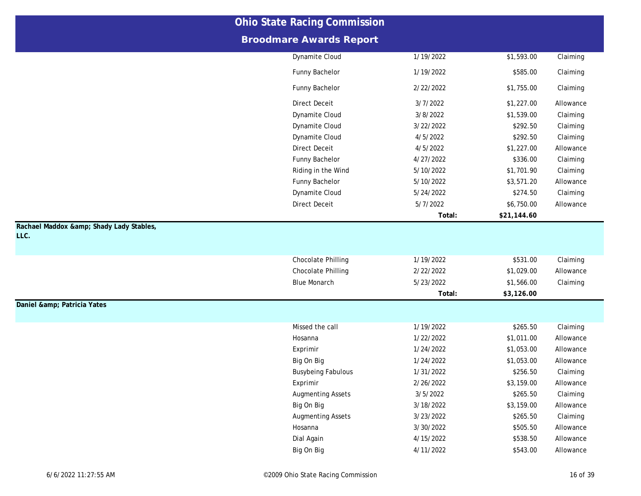|                                              | <b>Ohio State Racing Commission</b> |           |             |           |
|----------------------------------------------|-------------------------------------|-----------|-------------|-----------|
|                                              | <b>Broodmare Awards Report</b>      |           |             |           |
|                                              | Dynamite Cloud                      | 1/19/2022 | \$1,593.00  | Claiming  |
|                                              | Funny Bachelor                      | 1/19/2022 | \$585.00    | Claiming  |
|                                              | Funny Bachelor                      | 2/22/2022 | \$1,755.00  | Claiming  |
|                                              | <b>Direct Deceit</b>                | 3/7/2022  | \$1,227.00  | Allowance |
|                                              | Dynamite Cloud                      | 3/8/2022  | \$1,539.00  | Claiming  |
|                                              | Dynamite Cloud                      | 3/22/2022 | \$292.50    | Claiming  |
|                                              | Dynamite Cloud                      | 4/5/2022  | \$292.50    | Claiming  |
|                                              | <b>Direct Deceit</b>                | 4/5/2022  | \$1,227.00  | Allowance |
|                                              | Funny Bachelor                      | 4/27/2022 | \$336.00    | Claiming  |
|                                              | Riding in the Wind                  | 5/10/2022 | \$1,701.90  | Claiming  |
|                                              | Funny Bachelor                      | 5/10/2022 | \$3,571.20  | Allowance |
|                                              | Dynamite Cloud                      | 5/24/2022 | \$274.50    | Claiming  |
|                                              | <b>Direct Deceit</b>                | 5/7/2022  | \$6,750.00  | Allowance |
|                                              |                                     | Total:    | \$21,144.60 |           |
| Rachael Maddox & Shady Lady Stables,<br>LLC. |                                     |           |             |           |
|                                              | Chocolate Philling                  | 1/19/2022 | \$531.00    | Claiming  |
|                                              | Chocolate Philling                  | 2/22/2022 | \$1,029.00  | Allowance |
|                                              | <b>Blue Monarch</b>                 | 5/23/2022 | \$1,566.00  | Claiming  |
|                                              |                                     | Total:    | \$3,126.00  |           |
| Daniel & Patricia Yates                      |                                     |           |             |           |
|                                              | Missed the call                     | 1/19/2022 | \$265.50    | Claiming  |
|                                              | Hosanna                             | 1/22/2022 | \$1,011.00  | Allowance |
|                                              | Exprimir                            | 1/24/2022 | \$1,053.00  | Allowance |
|                                              | Big On Big                          | 1/24/2022 | \$1,053.00  | Allowance |
|                                              | <b>Busybeing Fabulous</b>           | 1/31/2022 | \$256.50    | Claiming  |
|                                              | Exprimir                            | 2/26/2022 | \$3,159.00  | Allowance |
|                                              | <b>Augmenting Assets</b>            | 3/5/2022  | \$265.50    | Claiming  |
|                                              | Big On Big                          | 3/18/2022 | \$3,159.00  | Allowance |
|                                              | <b>Augmenting Assets</b>            | 3/23/2022 | \$265.50    | Claiming  |
|                                              | Hosanna                             | 3/30/2022 | \$505.50    | Allowance |
|                                              | Dial Again                          | 4/15/2022 | \$538.50    | Allowance |
|                                              | Big On Big                          | 4/11/2022 | \$543.00    | Allowance |
|                                              |                                     |           |             |           |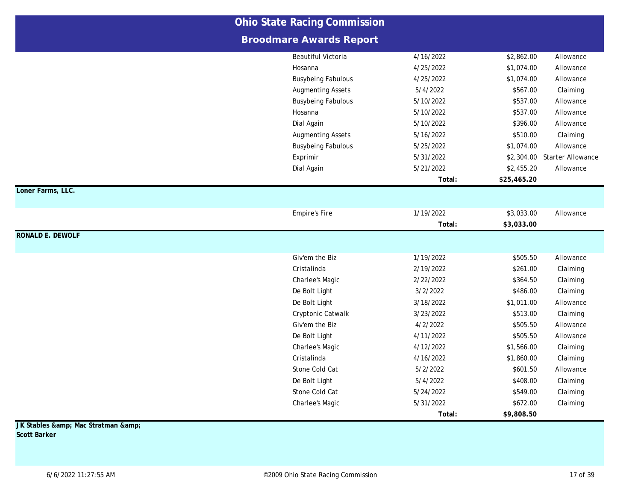|                         | <b>Ohio State Racing Commission</b> |           |             |                              |
|-------------------------|-------------------------------------|-----------|-------------|------------------------------|
|                         | <b>Broodmare Awards Report</b>      |           |             |                              |
|                         | Beautiful Victoria                  | 4/16/2022 | \$2,862.00  | Allowance                    |
|                         | Hosanna                             | 4/25/2022 | \$1,074.00  | Allowance                    |
|                         | <b>Busybeing Fabulous</b>           | 4/25/2022 | \$1,074.00  | Allowance                    |
|                         | <b>Augmenting Assets</b>            | 5/4/2022  | \$567.00    | Claiming                     |
|                         | <b>Busybeing Fabulous</b>           | 5/10/2022 | \$537.00    | Allowance                    |
|                         | Hosanna                             | 5/10/2022 | \$537.00    | Allowance                    |
|                         | Dial Again                          | 5/10/2022 | \$396.00    | Allowance                    |
|                         | <b>Augmenting Assets</b>            | 5/16/2022 | \$510.00    | Claiming                     |
|                         | <b>Busybeing Fabulous</b>           | 5/25/2022 | \$1,074.00  | Allowance                    |
|                         | Exprimir                            | 5/31/2022 |             | \$2,304.00 Starter Allowance |
|                         | Dial Again                          | 5/21/2022 | \$2,455.20  | Allowance                    |
|                         |                                     | Total:    | \$25,465.20 |                              |
| Loner Farms, LLC.       |                                     |           |             |                              |
|                         | <b>Empire's Fire</b>                | 1/19/2022 | \$3,033.00  | Allowance                    |
|                         |                                     | Total:    | \$3,033.00  |                              |
| <b>RONALD E. DEWOLF</b> |                                     |           |             |                              |
|                         | Giv'em the Biz                      | 1/19/2022 | \$505.50    | Allowance                    |
|                         | Cristalinda                         | 2/19/2022 | \$261.00    | Claiming                     |
|                         | Charlee's Magic                     | 2/22/2022 | \$364.50    | Claiming                     |
|                         | De Bolt Light                       | 3/2/2022  | \$486.00    | Claiming                     |
|                         | De Bolt Light                       | 3/18/2022 | \$1,011.00  | Allowance                    |
|                         | Cryptonic Catwalk                   | 3/23/2022 | \$513.00    | Claiming                     |
|                         | Giv'em the Biz                      | 4/2/2022  | \$505.50    | Allowance                    |
|                         | De Bolt Light                       | 4/11/2022 | \$505.50    | Allowance                    |
|                         | Charlee's Magic                     | 4/12/2022 | \$1,566.00  | Claiming                     |
|                         | Cristalinda                         | 4/16/2022 | \$1,860.00  | Claiming                     |
|                         | Stone Cold Cat                      | 5/2/2022  | \$601.50    | Allowance                    |
|                         | De Bolt Light                       | 5/4/2022  | \$408.00    | Claiming                     |
|                         | Stone Cold Cat                      | 5/24/2022 | \$549.00    | Claiming                     |
|                         | Charlee's Magic                     | 5/31/2022 | \$672.00    | Claiming                     |
|                         |                                     | Total:    | \$9,808.50  |                              |

**JK Stables & amp; Mac Stratman & amp; Scott Barker**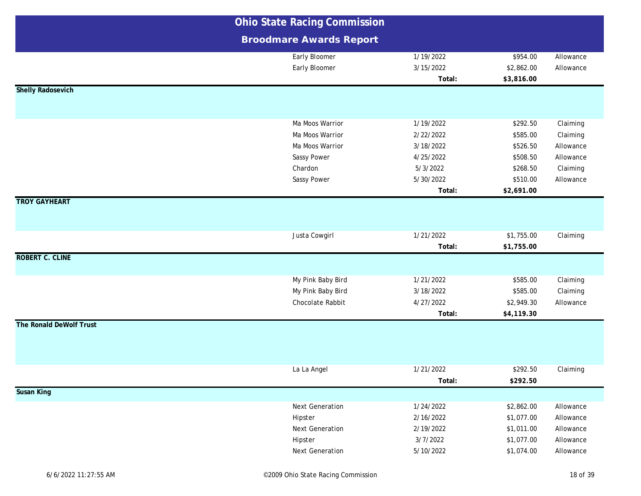|                          | <b>Ohio State Racing Commission</b> |           |            |           |
|--------------------------|-------------------------------------|-----------|------------|-----------|
|                          | <b>Broodmare Awards Report</b>      |           |            |           |
|                          | Early Bloomer                       | 1/19/2022 | \$954.00   | Allowance |
|                          | Early Bloomer                       | 3/15/2022 | \$2,862.00 | Allowance |
|                          |                                     | Total:    | \$3,816.00 |           |
| <b>Shelly Radosevich</b> |                                     |           |            |           |
|                          |                                     |           |            |           |
|                          | Ma Moos Warrior                     | 1/19/2022 | \$292.50   | Claiming  |
|                          | Ma Moos Warrior                     | 2/22/2022 | \$585.00   | Claiming  |
|                          | Ma Moos Warrior                     | 3/18/2022 | \$526.50   | Allowance |
|                          | Sassy Power                         | 4/25/2022 | \$508.50   | Allowance |
|                          | Chardon                             | 5/3/2022  | \$268.50   | Claiming  |
|                          | Sassy Power                         | 5/30/2022 | \$510.00   | Allowance |
|                          |                                     | Total:    | \$2,691.00 |           |
| <b>TROY GAYHEART</b>     |                                     |           |            |           |
|                          |                                     |           |            |           |
|                          |                                     |           |            |           |
|                          | Justa Cowgirl                       | 1/21/2022 | \$1,755.00 | Claiming  |
|                          |                                     | Total:    | \$1,755.00 |           |
| <b>ROBERT C. CLINE</b>   |                                     |           |            |           |
|                          |                                     |           |            |           |
|                          | My Pink Baby Bird                   | 1/21/2022 | \$585.00   | Claiming  |
|                          | My Pink Baby Bird                   | 3/18/2022 | \$585.00   | Claiming  |
|                          | Chocolate Rabbit                    | 4/27/2022 | \$2,949.30 | Allowance |
|                          |                                     | Total:    | \$4,119.30 |           |
| The Ronald DeWolf Trust  |                                     |           |            |           |
|                          |                                     |           |            |           |
|                          |                                     |           |            |           |
|                          |                                     |           |            |           |
|                          | La La Angel                         | 1/21/2022 | \$292.50   | Claiming  |
|                          |                                     | Total:    | \$292.50   |           |
| <b>Susan King</b>        |                                     |           |            |           |
|                          | Next Generation                     | 1/24/2022 | \$2,862.00 | Allowance |
|                          | Hipster                             | 2/16/2022 | \$1,077.00 | Allowance |
|                          | Next Generation                     | 2/19/2022 | \$1,011.00 | Allowance |
|                          | Hipster                             | 3/7/2022  | \$1,077.00 | Allowance |
|                          | Next Generation                     | 5/10/2022 | \$1,074.00 | Allowance |
|                          |                                     |           |            |           |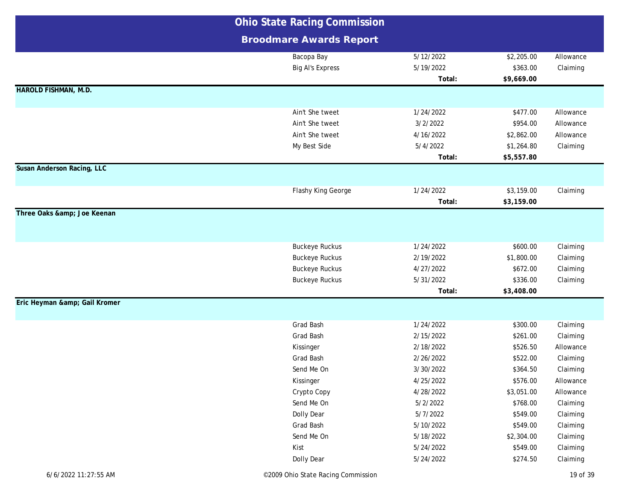|                             | <b>Ohio State Racing Commission</b> |           |            |           |
|-----------------------------|-------------------------------------|-----------|------------|-----------|
|                             | <b>Broodmare Awards Report</b>      |           |            |           |
|                             | Bacopa Bay                          | 5/12/2022 | \$2,205.00 | Allowance |
|                             | <b>Big Al's Express</b>             | 5/19/2022 | \$363.00   | Claiming  |
|                             |                                     | Total:    | \$9,669.00 |           |
| <b>HAROLD FISHMAN, M.D.</b> |                                     |           |            |           |
|                             |                                     |           |            |           |
|                             | Ain't She tweet                     | 1/24/2022 | \$477.00   | Allowance |
|                             | Ain't She tweet                     | 3/2/2022  | \$954.00   | Allowance |
|                             | Ain't She tweet                     | 4/16/2022 | \$2,862.00 | Allowance |
|                             | My Best Side                        | 5/4/2022  | \$1,264.80 | Claiming  |
|                             |                                     | Total:    | \$5,557.80 |           |
| Susan Anderson Racing, LLC  |                                     |           |            |           |
|                             | Flashy King George                  | 1/24/2022 | \$3,159.00 | Claiming  |
|                             |                                     | Total:    | \$3,159.00 |           |
| Three Oaks & Joe Keenan     |                                     |           |            |           |
|                             |                                     |           |            |           |
|                             |                                     |           |            |           |
|                             | <b>Buckeye Ruckus</b>               | 1/24/2022 | \$600.00   | Claiming  |
|                             | <b>Buckeye Ruckus</b>               | 2/19/2022 | \$1,800.00 | Claiming  |
|                             | <b>Buckeye Ruckus</b>               | 4/27/2022 | \$672.00   | Claiming  |
|                             | <b>Buckeye Ruckus</b>               | 5/31/2022 | \$336.00   | Claiming  |
|                             |                                     | Total:    | \$3,408.00 |           |
| Eric Heyman & Gail Kromer   |                                     |           |            |           |
|                             | Grad Bash                           | 1/24/2022 | \$300.00   | Claiming  |
|                             | Grad Bash                           | 2/15/2022 | \$261.00   | Claiming  |
|                             | Kissinger                           | 2/18/2022 | \$526.50   | Allowance |
|                             | Grad Bash                           | 2/26/2022 | \$522.00   | Claiming  |
|                             | Send Me On                          | 3/30/2022 | \$364.50   | Claiming  |
|                             | Kissinger                           | 4/25/2022 | \$576.00   | Allowance |
|                             | Crypto Copy                         | 4/28/2022 | \$3,051.00 | Allowance |
|                             | Send Me On                          | 5/2/2022  | \$768.00   | Claiming  |
|                             | Dolly Dear                          | 5/7/2022  | \$549.00   | Claiming  |
|                             | Grad Bash                           | 5/10/2022 | \$549.00   | Claiming  |
|                             | Send Me On                          | 5/18/2022 | \$2,304.00 | Claiming  |
|                             | Kist                                | 5/24/2022 | \$549.00   | Claiming  |
|                             | Dolly Dear                          | 5/24/2022 | \$274.50   | Claiming  |
|                             |                                     |           |            |           |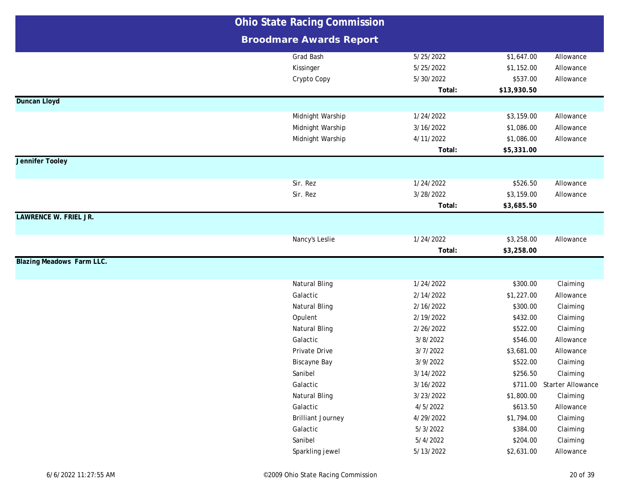|                                  | <b>Ohio State Racing Commission</b> |           |             |                            |
|----------------------------------|-------------------------------------|-----------|-------------|----------------------------|
|                                  | <b>Broodmare Awards Report</b>      |           |             |                            |
|                                  | Grad Bash                           | 5/25/2022 | \$1,647.00  | Allowance                  |
|                                  | Kissinger                           | 5/25/2022 | \$1,152.00  | Allowance                  |
|                                  | Crypto Copy                         | 5/30/2022 | \$537.00    | Allowance                  |
|                                  |                                     | Total:    | \$13,930.50 |                            |
| <b>Duncan Lloyd</b>              |                                     |           |             |                            |
|                                  | Midnight Warship                    | 1/24/2022 | \$3,159.00  | Allowance                  |
|                                  | Midnight Warship                    | 3/16/2022 | \$1,086.00  | Allowance                  |
|                                  | Midnight Warship                    | 4/11/2022 | \$1,086.00  | Allowance                  |
|                                  |                                     | Total:    | \$5,331.00  |                            |
| <b>Jennifer Tooley</b>           |                                     |           |             |                            |
|                                  | Sir. Rez                            | 1/24/2022 | \$526.50    | Allowance                  |
|                                  | Sir. Rez                            | 3/28/2022 | \$3,159.00  | Allowance                  |
|                                  |                                     | Total:    | \$3,685.50  |                            |
| <b>LAWRENCE W. FRIEL JR.</b>     |                                     |           |             |                            |
|                                  | Nancy's Leslie                      | 1/24/2022 | \$3,258.00  | Allowance                  |
|                                  |                                     | Total:    | \$3,258.00  |                            |
| <b>Blazing Meadows Farm LLC.</b> |                                     |           |             |                            |
|                                  | Natural Bling                       | 1/24/2022 | \$300.00    | Claiming                   |
|                                  | Galactic                            | 2/14/2022 | \$1,227.00  | Allowance                  |
|                                  | <b>Natural Bling</b>                | 2/16/2022 | \$300.00    | Claiming                   |
|                                  | Opulent                             | 2/19/2022 | \$432.00    | Claiming                   |
|                                  | <b>Natural Bling</b>                | 2/26/2022 | \$522.00    | Claiming                   |
|                                  | Galactic                            | 3/8/2022  | \$546.00    | Allowance                  |
|                                  | Private Drive                       | 3/7/2022  | \$3,681.00  | Allowance                  |
|                                  | Biscayne Bay                        | 3/9/2022  | \$522.00    | Claiming                   |
|                                  | Sanibel                             | 3/14/2022 | \$256.50    | Claiming                   |
|                                  | Galactic                            | 3/16/2022 |             | \$711.00 Starter Allowance |
|                                  | <b>Natural Bling</b>                | 3/23/2022 | \$1,800.00  | Claiming                   |
|                                  | Galactic                            | 4/5/2022  | \$613.50    | Allowance                  |
|                                  | <b>Brilliant Journey</b>            | 4/29/2022 | \$1,794.00  | Claiming                   |
|                                  | Galactic                            | 5/3/2022  | \$384.00    | Claiming                   |
|                                  | Sanibel                             | 5/4/2022  | \$204.00    | Claiming                   |
|                                  | Sparkling jewel                     | 5/13/2022 | \$2,631.00  | Allowance                  |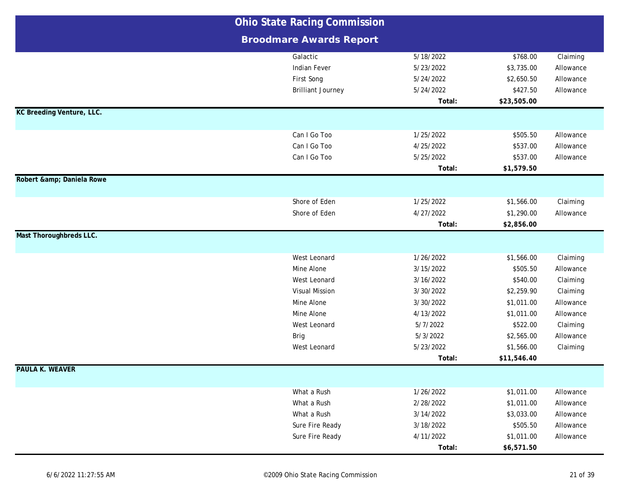|                                  | <b>Ohio State Racing Commission</b> |           |             |           |
|----------------------------------|-------------------------------------|-----------|-------------|-----------|
|                                  | <b>Broodmare Awards Report</b>      |           |             |           |
|                                  | Galactic                            | 5/18/2022 | \$768.00    | Claiming  |
|                                  | <b>Indian Fever</b>                 | 5/23/2022 | \$3,735.00  | Allowance |
|                                  | First Song                          | 5/24/2022 | \$2,650.50  | Allowance |
|                                  | <b>Brilliant Journey</b>            | 5/24/2022 | \$427.50    | Allowance |
|                                  |                                     | Total:    | \$23,505.00 |           |
| <b>KC Breeding Venture, LLC.</b> |                                     |           |             |           |
|                                  | Can I Go Too                        | 1/25/2022 | \$505.50    | Allowance |
|                                  | Can I Go Too                        | 4/25/2022 | \$537.00    | Allowance |
|                                  | Can I Go Too                        | 5/25/2022 | \$537.00    | Allowance |
|                                  |                                     | Total:    | \$1,579.50  |           |
| Robert & Daniela Rowe            |                                     |           |             |           |
|                                  |                                     |           |             |           |
|                                  | Shore of Eden                       | 1/25/2022 | \$1,566.00  | Claiming  |
|                                  | Shore of Eden                       | 4/27/2022 | \$1,290.00  | Allowance |
|                                  |                                     | Total:    | \$2,856.00  |           |
| Mast Thoroughbreds LLC.          |                                     |           |             |           |
|                                  | West Leonard                        | 1/26/2022 | \$1,566.00  | Claiming  |
|                                  | Mine Alone                          | 3/15/2022 | \$505.50    | Allowance |
|                                  | West Leonard                        | 3/16/2022 | \$540.00    | Claiming  |
|                                  | <b>Visual Mission</b>               | 3/30/2022 | \$2,259.90  | Claiming  |
|                                  | Mine Alone                          | 3/30/2022 | \$1,011.00  | Allowance |
|                                  | Mine Alone                          | 4/13/2022 | \$1,011.00  | Allowance |
|                                  | West Leonard                        | 5/7/2022  | \$522.00    | Claiming  |
|                                  | <b>Brig</b>                         | 5/3/2022  | \$2,565.00  | Allowance |
|                                  | West Leonard                        | 5/23/2022 | \$1,566.00  | Claiming  |
|                                  |                                     | Total:    | \$11,546.40 |           |
| <b>PAULA K. WEAVER</b>           |                                     |           |             |           |
|                                  | What a Rush                         | 1/26/2022 | \$1,011.00  | Allowance |
|                                  | What a Rush                         | 2/28/2022 | \$1,011.00  | Allowance |
|                                  | What a Rush                         | 3/14/2022 | \$3,033.00  | Allowance |
|                                  | Sure Fire Ready                     | 3/18/2022 | \$505.50    | Allowance |
|                                  | Sure Fire Ready                     | 4/11/2022 | \$1,011.00  | Allowance |
|                                  |                                     | Total:    | \$6,571.50  |           |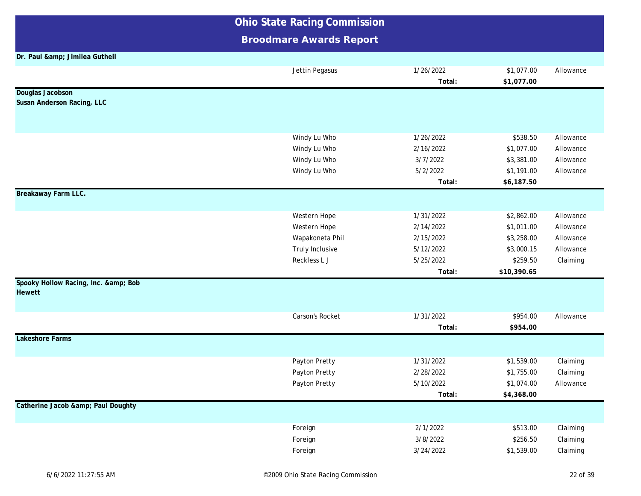**Broodmare Awards Report**

**Dr. Paul & amp; Jimilea Gutheil** Jettin Pegasus 1/26/2022 \$1,077.00 Allowance **Total: \$1,077.00 Douglas Jacobson Susan Anderson Racing, LLC** Windy Lu Who **1/26/2022** \$538.50 Allowance Windy Lu Who 2/16/2022 \$1,077.00 Allowance Windy Lu Who **3/7/2022** \$3,381.00 Allowance Windy Lu Who **6/2/2022** \$1,191.00 Allowance **Total: \$6,187.50 Breakaway Farm LLC.** Western Hope 2, 2,862.00 Allowance Western Hope 2/14/2022 \$1,011.00 Allowance Wapakoneta Phil 2/15/2022 \$3,258.00 Allowance Truly Inclusive **5/12/2022** \$3,000.15 Allowance Reckless L J 5/25/2022 \$259.50 Claiming **Total: \$10,390.65 Spooky Hollow Racing, Inc. & amp; Bob Hewett** Carson's Rocket 1/31/2022 \$954.00 Allowance **Total: \$954.00 Lakeshore Farms** Payton Pretty **1/31/2022** \$1,539.00 Claiming Payton Pretty **2/28/2022** \$1,755.00 Claiming Payton Pretty 5/10/2022 \$1,074.00 Allowance **Total: \$4,368.00 Catherine Jacob & amp; Paul Doughty** Foreign 2/1/2022 \$513.00 Claiming Foreign 3/8/2022 \$256.50 Claiming Foreign 3/24/2022 \$1,539.00 Claiming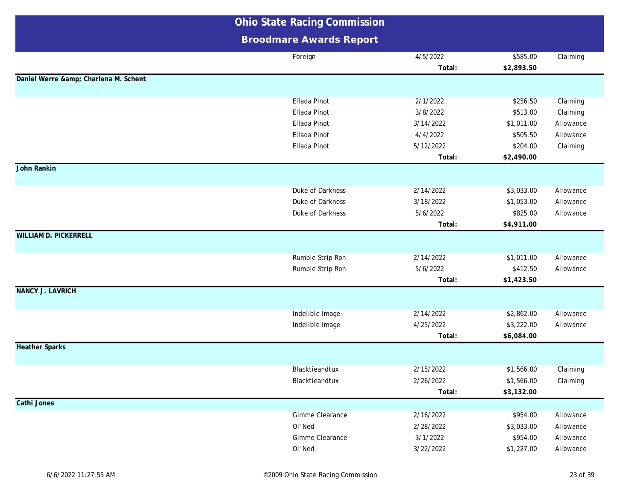|                                   | <b>Ohio State Racing Commission</b>  |           |                        |                        |
|-----------------------------------|--------------------------------------|-----------|------------------------|------------------------|
|                                   | <b>Broodmare Awards Report</b>       |           |                        |                        |
|                                   | Foreign                              | 4/5/2022  | \$585.00               | Claiming               |
|                                   |                                      | Total:    | \$2,893.50             |                        |
| Daniel Werre & Charlena M. Schent |                                      |           |                        |                        |
|                                   | Ellada Pinot                         | 2/1/2022  | \$256.50               | Claiming               |
|                                   | Ellada Pinot                         | 3/8/2022  | \$513.00               | Claiming               |
|                                   | Ellada Pinot                         | 3/14/2022 | \$1,011.00             | Allowance              |
|                                   | Ellada Pinot                         | 4/4/2022  | \$505.50               | Allowance              |
|                                   | Ellada Pinot                         | 5/12/2022 | \$204.00               | Claiming               |
|                                   |                                      | Total:    | \$2,490.00             |                        |
| John Rankin                       |                                      |           |                        |                        |
|                                   |                                      |           |                        |                        |
|                                   | Duke of Darkness                     | 2/14/2022 | \$3,033.00             | Allowance              |
|                                   | Duke of Darkness                     | 3/18/2022 | \$1,053.00             | Allowance              |
|                                   | Duke of Darkness                     | 5/6/2022  | \$825.00               | Allowance              |
|                                   |                                      | Total:    | \$4,911.00             |                        |
| <b>WILLIAM D. PICKERRELL</b>      |                                      |           |                        |                        |
|                                   |                                      | 2/14/2022 |                        |                        |
|                                   | Rumble Strip Ron<br>Rumble Strip Ron | 5/6/2022  | \$1,011.00<br>\$412.50 | Allowance<br>Allowance |
|                                   |                                      | Total:    | \$1,423.50             |                        |
| <b>NANCY J. LAVRICH</b>           |                                      |           |                        |                        |
|                                   |                                      |           |                        |                        |
|                                   | Indelible Image                      | 2/14/2022 | \$2,862.00             | Allowance              |
|                                   | Indelible Image                      | 4/25/2022 | \$3,222.00             | Allowance              |
|                                   |                                      | Total:    | \$6,084.00             |                        |
| <b>Heather Sparks</b>             |                                      |           |                        |                        |
|                                   |                                      |           |                        |                        |
|                                   | Blacktieandtux                       | 2/15/2022 | \$1,566.00             | Claiming               |
|                                   | Blacktieandtux                       | 2/26/2022 | \$1,566.00             | Claiming               |
|                                   |                                      | Total:    | \$3,132.00             |                        |
| Cathi Jones                       |                                      |           |                        |                        |
|                                   | Gimme Clearance                      | 2/16/2022 | \$954.00               | Allowance              |
|                                   | OI' Ned                              | 2/28/2022 | \$3,033.00             | Allowance              |
|                                   | Gimme Clearance                      | 3/1/2022  | \$954.00               | Allowance              |
|                                   | OI' Ned                              | 3/22/2022 | \$1,227.00             | Allowance              |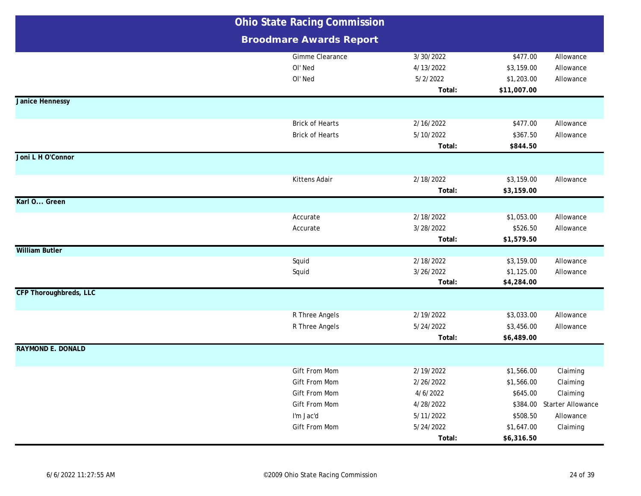|                          | <b>Ohio State Racing Commission</b>                                           |                                                              |                                                     |                                                                             |
|--------------------------|-------------------------------------------------------------------------------|--------------------------------------------------------------|-----------------------------------------------------|-----------------------------------------------------------------------------|
|                          | <b>Broodmare Awards Report</b>                                                |                                                              |                                                     |                                                                             |
|                          | Gimme Clearance<br>OI' Ned<br>OI' Ned                                         | 3/30/2022<br>4/13/2022<br>5/2/2022<br>Total:                 | \$477.00<br>\$3,159.00<br>\$1,203.00<br>\$11,007.00 | Allowance<br>Allowance<br>Allowance                                         |
| <b>Janice Hennessy</b>   |                                                                               |                                                              |                                                     |                                                                             |
|                          | <b>Brick of Hearts</b><br><b>Brick of Hearts</b>                              | 2/16/2022<br>5/10/2022<br>Total:                             | \$477.00<br>\$367.50<br>\$844.50                    | Allowance<br>Allowance                                                      |
| Joni L H O'Connor        |                                                                               |                                                              |                                                     |                                                                             |
|                          | Kittens Adair                                                                 | 2/18/2022<br>Total:                                          | \$3,159.00<br>\$3,159.00                            | Allowance                                                                   |
| Karl O Green             |                                                                               |                                                              |                                                     |                                                                             |
|                          | Accurate<br>Accurate                                                          | 2/18/2022<br>3/28/2022<br>Total:                             | \$1,053.00<br>\$526.50<br>\$1,579.50                | Allowance<br>Allowance                                                      |
| <b>William Butler</b>    |                                                                               |                                                              |                                                     |                                                                             |
|                          | Squid<br>Squid                                                                | 2/18/2022<br>3/26/2022<br>Total:                             | \$3,159.00<br>\$1,125.00<br>\$4,284.00              | Allowance<br>Allowance                                                      |
| CFP Thoroughbreds, LLC   |                                                                               |                                                              |                                                     |                                                                             |
|                          | R Three Angels<br>R Three Angels                                              | 2/19/2022<br>5/24/2022<br>Total:                             | \$3,033.00<br>\$3,456.00<br>\$6,489.00              | Allowance<br>Allowance                                                      |
| <b>RAYMOND E. DONALD</b> |                                                                               |                                                              |                                                     |                                                                             |
|                          | Gift From Mom<br>Gift From Mom<br>Gift From Mom<br>Gift From Mom<br>I'm Jac'd | 2/19/2022<br>2/26/2022<br>4/6/2022<br>4/28/2022<br>5/11/2022 | \$1,566.00<br>\$1,566.00<br>\$645.00<br>\$508.50    | Claiming<br>Claiming<br>Claiming<br>\$384.00 Starter Allowance<br>Allowance |
|                          | Gift From Mom                                                                 | 5/24/2022<br>Total:                                          | \$1,647.00<br>\$6,316.50                            | Claiming                                                                    |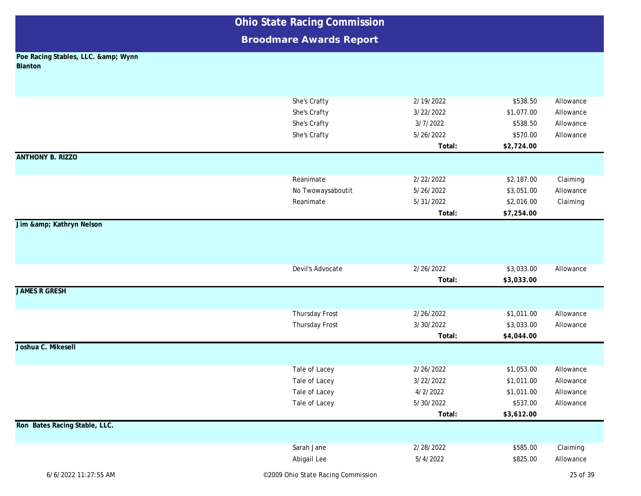| <b>Ohio State Racing Commission</b>        |                                    |           |            |           |
|--------------------------------------------|------------------------------------|-----------|------------|-----------|
|                                            | <b>Broodmare Awards Report</b>     |           |            |           |
| Poe Racing Stables, LLC. & Wynn<br>Blanton |                                    |           |            |           |
|                                            |                                    |           |            |           |
|                                            |                                    |           |            |           |
|                                            | She's Crafty                       | 2/19/2022 | \$538.50   | Allowance |
|                                            | She's Crafty                       | 3/22/2022 | \$1,077.00 | Allowance |
|                                            | She's Crafty                       | 3/7/2022  | \$538.50   | Allowance |
|                                            | She's Crafty                       | 5/26/2022 | \$570.00   | Allowance |
|                                            |                                    | Total:    | \$2,724.00 |           |
| <b>ANTHONY B. RIZZO</b>                    |                                    |           |            |           |
|                                            | Reanimate                          | 2/22/2022 | \$2,187.00 | Claiming  |
|                                            | No Twowaysaboutit                  | 5/26/2022 | \$3,051.00 | Allowance |
|                                            | Reanimate                          | 5/31/2022 | \$2,016.00 | Claiming  |
|                                            |                                    | Total:    | \$7,254.00 |           |
| Jim & Kathryn Nelson                       |                                    |           |            |           |
|                                            |                                    |           |            |           |
|                                            |                                    |           |            |           |
|                                            |                                    |           |            |           |
|                                            | Devil's Advocate                   | 2/26/2022 | \$3,033.00 | Allowance |
| <b>JAMES R GRESH</b>                       |                                    | Total:    | \$3,033.00 |           |
|                                            |                                    |           |            |           |
|                                            | Thursday Frost                     | 2/26/2022 | \$1,011.00 | Allowance |
|                                            | Thursday Frost                     | 3/30/2022 | \$3,033.00 | Allowance |
|                                            |                                    | Total:    | \$4,044.00 |           |
| Joshua C. Mikesell                         |                                    |           |            |           |
|                                            |                                    |           |            |           |
|                                            | Tale of Lacey                      | 2/26/2022 | \$1,053.00 | Allowance |
|                                            | Tale of Lacey                      | 3/22/2022 | \$1,011.00 | Allowance |
|                                            | Tale of Lacey                      | 4/2/2022  | \$1,011.00 | Allowance |
|                                            | Tale of Lacey                      | 5/30/2022 | \$537.00   | Allowance |
|                                            |                                    | Total:    | \$3,612.00 |           |
| Ron Bates Racing Stable, LLC.              |                                    |           |            |           |
|                                            | Sarah Jane                         | 2/28/2022 | \$585.00   | Claiming  |
|                                            | Abigail Lee                        | 5/4/2022  | \$825.00   | Allowance |
| 6/6/2022 11:27:55 AM                       | ©2009 Ohio State Racing Commission |           |            | 25 of 39  |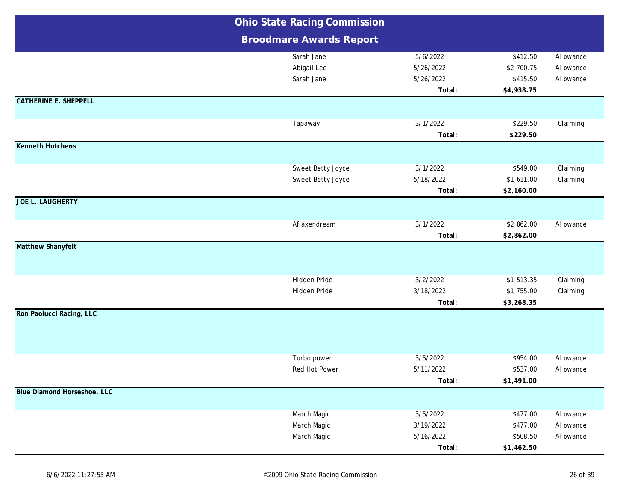|                              | <b>Ohio State Racing Commission</b> |           |            |           |
|------------------------------|-------------------------------------|-----------|------------|-----------|
|                              | <b>Broodmare Awards Report</b>      |           |            |           |
|                              | Sarah Jane                          | 5/6/2022  | \$412.50   | Allowance |
|                              | Abigail Lee                         | 5/26/2022 | \$2,700.75 | Allowance |
|                              | Sarah Jane                          | 5/26/2022 | \$415.50   | Allowance |
|                              |                                     | Total:    | \$4,938.75 |           |
| <b>CATHERINE E. SHEPPELL</b> |                                     |           |            |           |
|                              | Tapaway                             | 3/1/2022  | \$229.50   | Claiming  |
|                              |                                     | Total:    | \$229.50   |           |
| <b>Kenneth Hutchens</b>      |                                     |           |            |           |
|                              | Sweet Betty Joyce                   | 3/1/2022  | \$549.00   | Claiming  |
|                              | Sweet Betty Joyce                   | 5/18/2022 | \$1,611.00 | Claiming  |
|                              |                                     | Total:    | \$2,160.00 |           |
| <b>JOE L. LAUGHERTY</b>      |                                     |           |            |           |
|                              | Aflaxendream                        | 3/1/2022  | \$2,862.00 | Allowance |
|                              |                                     | Total:    | \$2,862.00 |           |
| <b>Matthew Shanyfelt</b>     |                                     |           |            |           |
|                              | Hidden Pride                        | 3/2/2022  | \$1,513.35 | Claiming  |
|                              | Hidden Pride                        | 3/18/2022 | \$1,755.00 | Claiming  |
|                              |                                     | Total:    | \$3,268.35 |           |
| Ron Paolucci Racing, LLC     |                                     |           |            |           |
|                              | Turbo power                         | 3/5/2022  | \$954.00   | Allowance |
|                              | Red Hot Power                       | 5/11/2022 | \$537.00   | Allowance |
|                              |                                     | Total:    | \$1,491.00 |           |
| Blue Diamond Horseshoe, LLC  |                                     |           |            |           |
|                              | March Magic                         | 3/5/2022  | \$477.00   | Allowance |
|                              | March Magic                         | 3/19/2022 | \$477.00   | Allowance |
|                              | March Magic                         | 5/16/2022 | \$508.50   | Allowance |
|                              |                                     | Total:    | \$1,462.50 |           |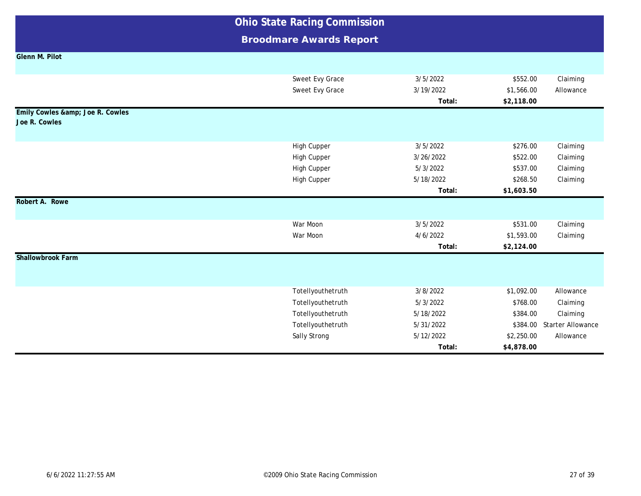**Broodmare Awards Report**

|  |  |  |  | Glenn M. Pilot |  |
|--|--|--|--|----------------|--|
|--|--|--|--|----------------|--|

|                                               | Sweet Evy Grace    | 3/5/2022  | \$552.00   | Claiming                 |
|-----------------------------------------------|--------------------|-----------|------------|--------------------------|
|                                               | Sweet Evy Grace    | 3/19/2022 | \$1,566.00 | Allowance                |
|                                               |                    | Total:    | \$2,118.00 |                          |
| Emily Cowles & Joe R. Cowles<br>Joe R. Cowles |                    |           |            |                          |
|                                               |                    |           |            |                          |
|                                               | High Cupper        | 3/5/2022  | \$276.00   | Claiming                 |
|                                               | <b>High Cupper</b> | 3/26/2022 | \$522.00   | Claiming                 |
|                                               | High Cupper        | 5/3/2022  | \$537.00   | Claiming                 |
|                                               | High Cupper        | 5/18/2022 | \$268.50   | Claiming                 |
|                                               |                    | Total:    | \$1,603.50 |                          |
| Robert A. Rowe                                |                    |           |            |                          |
|                                               |                    |           |            |                          |
|                                               | War Moon           | 3/5/2022  | \$531.00   | Claiming                 |
|                                               | War Moon           | 4/6/2022  | \$1,593.00 | Claiming                 |
|                                               |                    | Total:    | \$2,124.00 |                          |
| Shallowbrook Farm                             |                    |           |            |                          |
|                                               |                    |           |            |                          |
|                                               |                    |           |            |                          |
|                                               | Totellyouthetruth  | 3/8/2022  | \$1,092.00 | Allowance                |
|                                               | Totellyouthetruth  | 5/3/2022  | \$768.00   | Claiming                 |
|                                               | Totellyouthetruth  | 5/18/2022 | \$384.00   | Claiming                 |
|                                               | Totellyouthetruth  | 5/31/2022 | \$384.00   | <b>Starter Allowance</b> |
|                                               | Sally Strong       | 5/12/2022 | \$2,250.00 | Allowance                |
|                                               |                    | Total:    | \$4,878.00 |                          |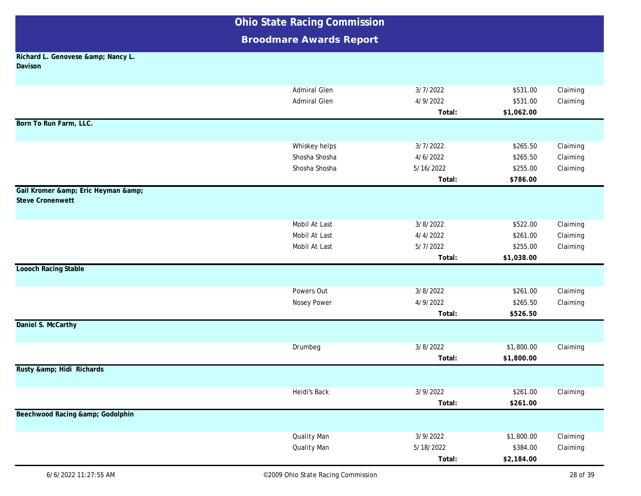|                                                        | <b>Ohio State Racing Commission</b> |           |            |          |  |
|--------------------------------------------------------|-------------------------------------|-----------|------------|----------|--|
|                                                        | <b>Broodmare Awards Report</b>      |           |            |          |  |
| Richard L. Genovese & Nancy L.<br>Davison              |                                     |           |            |          |  |
|                                                        | <b>Admiral Glen</b>                 | 3/7/2022  | \$531.00   | Claiming |  |
|                                                        | <b>Admiral Glen</b>                 | 4/9/2022  | \$531.00   | Claiming |  |
|                                                        |                                     | Total:    | \$1,062.00 |          |  |
| Born To Run Farm, LLC.                                 |                                     |           |            |          |  |
|                                                        | Whiskey helps                       | 3/7/2022  | \$265.50   | Claiming |  |
|                                                        | Shosha Shosha                       | 4/6/2022  | \$265.50   | Claiming |  |
|                                                        | Shosha Shosha                       | 5/16/2022 | \$255.00   | Claiming |  |
|                                                        |                                     | Total:    | \$786.00   |          |  |
| Gail Kromer & Eric Heyman &<br><b>Steve Cronenwett</b> |                                     |           |            |          |  |
|                                                        | Mobil At Last                       | 3/8/2022  | \$522.00   | Claiming |  |
|                                                        | Mobil At Last                       | 4/4/2022  | \$261.00   | Claiming |  |
|                                                        | Mobil At Last                       | 5/7/2022  | \$255.00   | Claiming |  |
|                                                        |                                     | Total:    | \$1,038.00 |          |  |
| <b>Loooch Racing Stable</b>                            |                                     |           |            |          |  |
|                                                        | Powers Out                          | 3/8/2022  | \$261.00   | Claiming |  |
|                                                        | Nosey Power                         | 4/9/2022  | \$265.50   | Claiming |  |
|                                                        |                                     | Total:    | \$526.50   |          |  |
| Daniel S. McCarthy                                     |                                     |           |            |          |  |
|                                                        | Drumbeg                             | 3/8/2022  | \$1,800.00 | Claiming |  |
|                                                        |                                     | Total:    | \$1,800.00 |          |  |
| Rusty & Hidi Richards                                  |                                     |           |            |          |  |
|                                                        | Heidi's Back                        | 3/9/2022  | \$261.00   | Claiming |  |
|                                                        |                                     | Total:    | \$261.00   |          |  |
| Beechwood Racing & Godolphin                           |                                     |           |            |          |  |
|                                                        | <b>Quality Man</b>                  | 3/9/2022  | \$1,800.00 | Claiming |  |
|                                                        | <b>Quality Man</b>                  | 5/18/2022 | \$384.00   | Claiming |  |
|                                                        |                                     | Total:    | \$2,184.00 |          |  |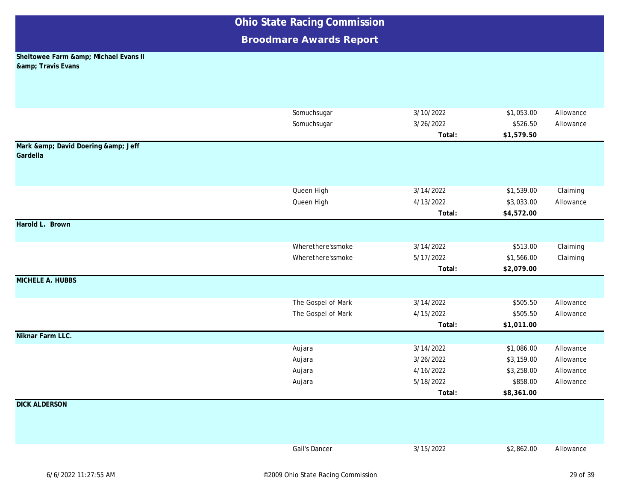### **Broodmare Awards Report**

#### **Sheltowee Farm & amp; Michael Evans II & amp**; Travis Evans

|                             | Somuchsugar        | 3/10/2022 | \$1,053.00 | Allowance |
|-----------------------------|--------------------|-----------|------------|-----------|
|                             | Somuchsugar        | 3/26/2022 | \$526.50   | Allowance |
|                             |                    | Total:    | \$1,579.50 |           |
| Mark & David Doering & Jeff |                    |           |            |           |
| Gardella                    |                    |           |            |           |
|                             |                    |           |            |           |
|                             |                    |           |            |           |
|                             | Queen High         | 3/14/2022 | \$1,539.00 | Claiming  |
|                             | Queen High         | 4/13/2022 | \$3,033.00 | Allowance |
|                             |                    | Total:    | \$4,572.00 |           |
| Harold L. Brown             |                    |           |            |           |
|                             |                    |           |            |           |
|                             | Wherethere'ssmoke  | 3/14/2022 | \$513.00   | Claiming  |
|                             | Wherethere'ssmoke  | 5/17/2022 | \$1,566.00 | Claiming  |
|                             |                    | Total:    | \$2,079.00 |           |
| <b>MICHELE A. HUBBS</b>     |                    |           |            |           |
|                             | The Gospel of Mark | 3/14/2022 | \$505.50   | Allowance |
|                             | The Gospel of Mark | 4/15/2022 | \$505.50   | Allowance |
|                             |                    | Total:    | \$1,011.00 |           |
| Niknar Farm LLC.            |                    |           |            |           |
|                             | Aujara             | 3/14/2022 | \$1,086.00 | Allowance |
|                             | Aujara             | 3/26/2022 | \$3,159.00 | Allowance |
|                             | Aujara             | 4/16/2022 | \$3,258.00 | Allowance |
|                             | Aujara             | 5/18/2022 | \$858.00   | Allowance |
|                             |                    | Total:    | \$8,361.00 |           |
| <b>DICK ALDERSON</b>        |                    |           |            |           |
|                             |                    |           |            |           |
|                             |                    |           |            |           |
|                             |                    |           |            |           |
|                             | Gail's Dancer      | 3/15/2022 | \$2,862.00 | Allowance |
|                             |                    |           |            |           |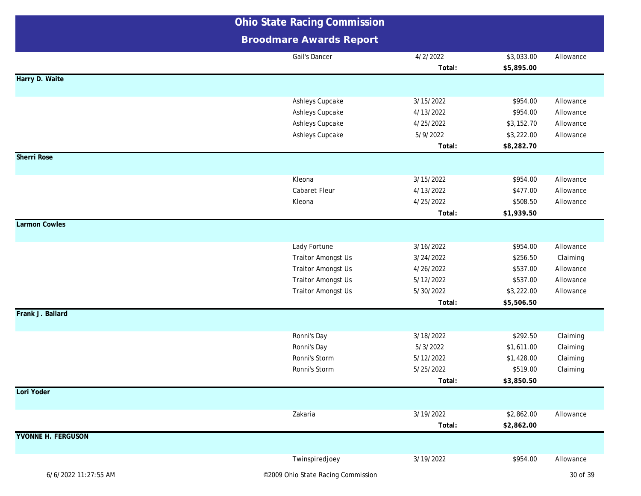|                           | <b>Ohio State Racing Commission</b>                                                                                              |                                                                         |                                                                          |                                                              |  |
|---------------------------|----------------------------------------------------------------------------------------------------------------------------------|-------------------------------------------------------------------------|--------------------------------------------------------------------------|--------------------------------------------------------------|--|
|                           | <b>Broodmare Awards Report</b>                                                                                                   |                                                                         |                                                                          |                                                              |  |
|                           | Gail's Dancer                                                                                                                    | 4/2/2022<br>Total:                                                      | \$3,033.00<br>\$5,895.00                                                 | Allowance                                                    |  |
| Harry D. Waite            |                                                                                                                                  |                                                                         |                                                                          |                                                              |  |
|                           | Ashleys Cupcake<br>Ashleys Cupcake<br>Ashleys Cupcake<br>Ashleys Cupcake                                                         | 3/15/2022<br>4/13/2022<br>4/25/2022<br>5/9/2022<br>Total:               | \$954.00<br>\$954.00<br>\$3,152.70<br>\$3,222.00<br>\$8,282.70           | Allowance<br>Allowance<br>Allowance<br>Allowance             |  |
| <b>Sherri Rose</b>        |                                                                                                                                  |                                                                         |                                                                          |                                                              |  |
|                           | Kleona<br>Cabaret Fleur<br>Kleona                                                                                                | 3/15/2022<br>4/13/2022<br>4/25/2022<br>Total:                           | \$954.00<br>\$477.00<br>\$508.50<br>\$1,939.50                           | Allowance<br>Allowance<br>Allowance                          |  |
| <b>Larmon Cowles</b>      |                                                                                                                                  |                                                                         |                                                                          |                                                              |  |
|                           | Lady Fortune<br><b>Traitor Amongst Us</b><br><b>Traitor Amongst Us</b><br><b>Traitor Amongst Us</b><br><b>Traitor Amongst Us</b> | 3/16/2022<br>3/24/2022<br>4/26/2022<br>5/12/2022<br>5/30/2022<br>Total: | \$954.00<br>\$256.50<br>\$537.00<br>\$537.00<br>\$3,222.00<br>\$5,506.50 | Allowance<br>Claiming<br>Allowance<br>Allowance<br>Allowance |  |
| Frank J. Ballard          |                                                                                                                                  |                                                                         |                                                                          |                                                              |  |
|                           | Ronni's Day<br>Ronni's Day<br>Ronni's Storm<br>Ronni's Storm                                                                     | 3/18/2022<br>5/3/2022<br>5/12/2022<br>5/25/2022<br>Total:               | \$292.50<br>\$1,611.00<br>\$1,428.00<br>\$519.00<br>\$3,850.50           | Claiming<br>Claiming<br>Claiming<br>Claiming                 |  |
| Lori Yoder                |                                                                                                                                  |                                                                         |                                                                          |                                                              |  |
|                           | Zakaria                                                                                                                          | 3/19/2022<br>Total:                                                     | \$2,862.00<br>\$2,862.00                                                 | Allowance                                                    |  |
| <b>YVONNE H. FERGUSON</b> |                                                                                                                                  |                                                                         |                                                                          |                                                              |  |
| 6/6/2022 11:27:55 AM      | Twinspiredjoey<br>©2009 Ohio State Racing Commission                                                                             | 3/19/2022                                                               | \$954.00                                                                 | Allowance<br>30 of 39                                        |  |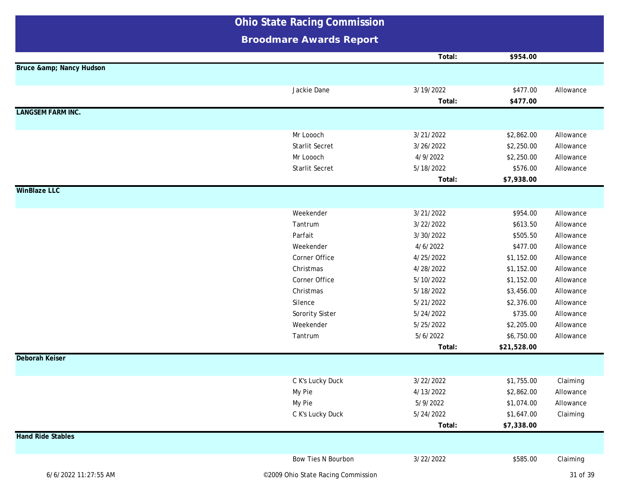|                          | <b>Ohio State Racing Commission</b> |           |             |           |
|--------------------------|-------------------------------------|-----------|-------------|-----------|
|                          | <b>Broodmare Awards Report</b>      |           |             |           |
|                          |                                     | Total:    | \$954.00    |           |
| Bruce & Nancy Hudson     |                                     |           |             |           |
|                          |                                     |           |             |           |
|                          | Jackie Dane                         | 3/19/2022 | \$477.00    | Allowance |
|                          |                                     | Total:    | \$477.00    |           |
| <b>LANGSEM FARM INC.</b> |                                     |           |             |           |
|                          | Mr Loooch                           | 3/21/2022 | \$2,862.00  | Allowance |
|                          | Starlit Secret                      | 3/26/2022 | \$2,250.00  | Allowance |
|                          | Mr Loooch                           | 4/9/2022  | \$2,250.00  | Allowance |
|                          | Starlit Secret                      | 5/18/2022 | \$576.00    | Allowance |
|                          |                                     | Total:    | \$7,938.00  |           |
| <b>WinBlaze LLC</b>      |                                     |           |             |           |
|                          |                                     |           |             |           |
|                          | Weekender                           | 3/21/2022 | \$954.00    | Allowance |
|                          | Tantrum                             | 3/22/2022 | \$613.50    | Allowance |
|                          | Parfait                             | 3/30/2022 | \$505.50    | Allowance |
|                          | Weekender                           | 4/6/2022  | \$477.00    | Allowance |
|                          | Corner Office                       | 4/25/2022 | \$1,152.00  | Allowance |
|                          | Christmas                           | 4/28/2022 | \$1,152.00  | Allowance |
|                          | Corner Office                       | 5/10/2022 | \$1,152.00  | Allowance |
|                          | Christmas                           | 5/18/2022 | \$3,456.00  | Allowance |
|                          | Silence                             | 5/21/2022 | \$2,376.00  | Allowance |
|                          | Sorority Sister                     | 5/24/2022 | \$735.00    | Allowance |
|                          | Weekender                           | 5/25/2022 | \$2,205.00  | Allowance |
|                          | Tantrum                             | 5/6/2022  | \$6,750.00  | Allowance |
|                          |                                     | Total:    | \$21,528.00 |           |
| Deborah Keiser           |                                     |           |             |           |
|                          |                                     |           |             |           |
|                          | C K's Lucky Duck                    | 3/22/2022 | \$1,755.00  | Claiming  |
|                          | My Pie                              | 4/13/2022 | \$2,862.00  | Allowance |
|                          | My Pie                              | 5/9/2022  | \$1,074.00  | Allowance |
|                          | C K's Lucky Duck                    | 5/24/2022 | \$1,647.00  | Claiming  |
|                          |                                     | Total:    | \$7,338.00  |           |
| <b>Hand Ride Stables</b> |                                     |           |             |           |
|                          | Bow Ties N Bourbon                  | 3/22/2022 | \$585.00    | Claiming  |
| 6/6/2022 11:27:55 AM     | ©2009 Ohio State Racing Commission  |           |             | 31 of 39  |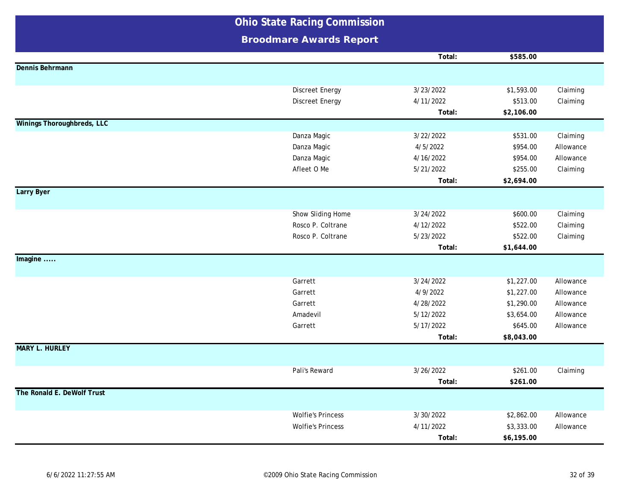|                                   | <b>Ohio State Racing Commission</b> |           |            |           |
|-----------------------------------|-------------------------------------|-----------|------------|-----------|
|                                   | <b>Broodmare Awards Report</b>      |           |            |           |
|                                   |                                     | Total:    | \$585.00   |           |
| Dennis Behrmann                   |                                     |           |            |           |
|                                   |                                     |           |            |           |
|                                   | <b>Discreet Energy</b>              | 3/23/2022 | \$1,593.00 | Claiming  |
|                                   | <b>Discreet Energy</b>              | 4/11/2022 | \$513.00   | Claiming  |
|                                   |                                     | Total:    | \$2,106.00 |           |
| <b>Winings Thoroughbreds, LLC</b> |                                     |           |            |           |
|                                   | Danza Magic                         | 3/22/2022 | \$531.00   | Claiming  |
|                                   | Danza Magic                         | 4/5/2022  | \$954.00   | Allowance |
|                                   | Danza Magic                         | 4/16/2022 | \$954.00   | Allowance |
|                                   | Afleet O Me                         | 5/21/2022 | \$255.00   | Claiming  |
|                                   |                                     | Total:    | \$2,694.00 |           |
| Larry Byer                        |                                     |           |            |           |
|                                   |                                     |           |            |           |
|                                   | Show Sliding Home                   | 3/24/2022 | \$600.00   | Claiming  |
|                                   | Rosco P. Coltrane                   | 4/12/2022 | \$522.00   | Claiming  |
|                                   | Rosco P. Coltrane                   | 5/23/2022 | \$522.00   | Claiming  |
|                                   |                                     | Total:    | \$1,644.00 |           |
| Imagine                           |                                     |           |            |           |
|                                   | Garrett                             | 3/24/2022 | \$1,227.00 | Allowance |
|                                   | Garrett                             | 4/9/2022  | \$1,227.00 | Allowance |
|                                   | Garrett                             | 4/28/2022 | \$1,290.00 | Allowance |
|                                   | Amadevil                            | 5/12/2022 | \$3,654.00 | Allowance |
|                                   | Garrett                             | 5/17/2022 | \$645.00   | Allowance |
|                                   |                                     | Total:    | \$8,043.00 |           |
| <b>MARY L. HURLEY</b>             |                                     |           |            |           |
|                                   | Pali's Reward                       | 3/26/2022 | \$261.00   | Claiming  |
|                                   |                                     | Total:    | \$261.00   |           |
| The Ronald E. DeWolf Trust        |                                     |           |            |           |
|                                   |                                     |           |            |           |
|                                   | <b>Wolfie's Princess</b>            | 3/30/2022 | \$2,862.00 | Allowance |
|                                   | <b>Wolfie's Princess</b>            | 4/11/2022 | \$3,333.00 | Allowance |
|                                   |                                     | Total:    | \$6,195.00 |           |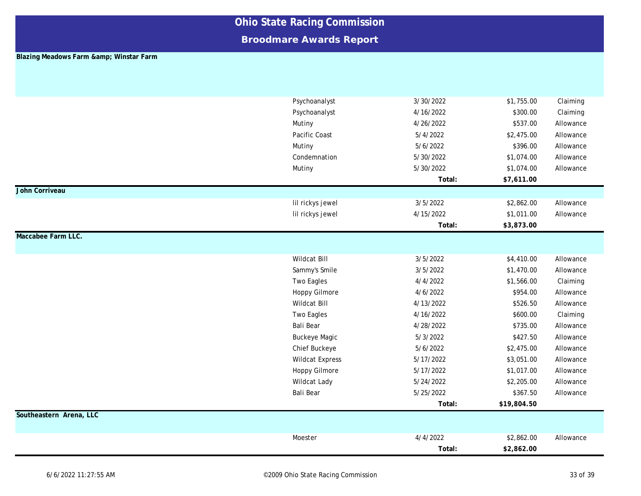### **Broodmare Awards Report**

#### **Blazing Meadows Farm & amp; Winstar Farm**

|                         | Psychoanalyst          | 3/30/2022 | \$1,755.00  | Claiming  |
|-------------------------|------------------------|-----------|-------------|-----------|
|                         | Psychoanalyst          | 4/16/2022 | \$300.00    | Claiming  |
|                         | Mutiny                 | 4/26/2022 | \$537.00    | Allowance |
|                         | Pacific Coast          | 5/4/2022  | \$2,475.00  | Allowance |
|                         | Mutiny                 | 5/6/2022  | \$396.00    | Allowance |
|                         | Condemnation           | 5/30/2022 | \$1,074.00  | Allowance |
|                         | Mutiny                 | 5/30/2022 | \$1,074.00  | Allowance |
|                         |                        | Total:    | \$7,611.00  |           |
| John Corriveau          |                        |           |             |           |
|                         | lil rickys jewel       | 3/5/2022  | \$2,862.00  | Allowance |
|                         | lil rickys jewel       | 4/15/2022 | \$1,011.00  | Allowance |
|                         |                        | Total:    | \$3,873.00  |           |
| Maccabee Farm LLC.      |                        |           |             |           |
|                         |                        |           |             |           |
|                         | Wildcat Bill           | 3/5/2022  | \$4,410.00  | Allowance |
|                         | Sammy's Smile          | 3/5/2022  | \$1,470.00  | Allowance |
|                         | <b>Two Eagles</b>      | 4/4/2022  | \$1,566.00  | Claiming  |
|                         | <b>Hoppy Gilmore</b>   | 4/6/2022  | \$954.00    | Allowance |
|                         | Wildcat Bill           | 4/13/2022 | \$526.50    | Allowance |
|                         | Two Eagles             | 4/16/2022 | \$600.00    | Claiming  |
|                         | Bali Bear              | 4/28/2022 | \$735.00    | Allowance |
|                         | <b>Buckeye Magic</b>   | 5/3/2022  | \$427.50    | Allowance |
|                         | Chief Buckeye          | 5/6/2022  | \$2,475.00  | Allowance |
|                         | <b>Wildcat Express</b> | 5/17/2022 | \$3,051.00  | Allowance |
|                         | Hoppy Gilmore          | 5/17/2022 | \$1,017.00  | Allowance |
|                         | Wildcat Lady           | 5/24/2022 | \$2,205.00  | Allowance |
|                         | Bali Bear              | 5/25/2022 | \$367.50    | Allowance |
|                         |                        | Total:    | \$19,804.50 |           |
| Southeastern Arena, LLC |                        |           |             |           |
|                         |                        |           |             |           |
|                         | Moester                | 4/4/2022  | \$2,862.00  | Allowance |
|                         |                        | Total:    | \$2,862.00  |           |
|                         |                        |           |             |           |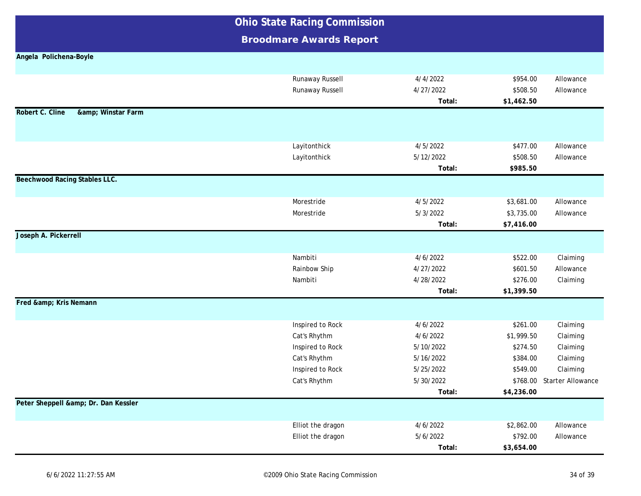**Broodmare Awards Report**

#### **Angela Polichena-Boyle**

| Robert C. Cline<br>& Winstar Farm | Runaway Russell<br>Runaway Russell | 4/4/2022<br>4/27/2022<br>Total: | \$954.00<br>\$508.50<br>\$1,462.50 | Allowance<br>Allowance     |
|-----------------------------------|------------------------------------|---------------------------------|------------------------------------|----------------------------|
|                                   |                                    |                                 |                                    |                            |
|                                   | Layitonthick                       | 4/5/2022                        | \$477.00                           | Allowance                  |
|                                   | Layitonthick                       | 5/12/2022                       | \$508.50                           | Allowance                  |
| Beechwood Racing Stables LLC.     |                                    | Total:                          | \$985.50                           |                            |
|                                   |                                    |                                 |                                    |                            |
|                                   | Morestride                         | 4/5/2022                        | \$3,681.00                         | Allowance                  |
|                                   | Morestride                         | 5/3/2022                        | \$3,735.00                         | Allowance                  |
|                                   |                                    | Total:                          | \$7,416.00                         |                            |
| Joseph A. Pickerrell              |                                    |                                 |                                    |                            |
|                                   | Nambiti                            | 4/6/2022                        | \$522.00                           | Claiming                   |
|                                   | Rainbow Ship                       | 4/27/2022                       | \$601.50                           | Allowance                  |
|                                   | Nambiti                            | 4/28/2022<br>Total:             | \$276.00<br>\$1,399.50             | Claiming                   |
| Fred & Kris Nemann                |                                    |                                 |                                    |                            |
|                                   | Inspired to Rock                   | 4/6/2022                        | \$261.00                           | Claiming                   |
|                                   | Cat's Rhythm                       | 4/6/2022                        | \$1,999.50                         | Claiming                   |
|                                   | Inspired to Rock                   | 5/10/2022                       | \$274.50                           | Claiming                   |
|                                   | Cat's Rhythm                       | 5/16/2022                       | \$384.00                           | Claiming                   |
|                                   | Inspired to Rock                   | 5/25/2022                       | \$549.00                           | Claiming                   |
|                                   | Cat's Rhythm                       | 5/30/2022                       |                                    | \$768.00 Starter Allowance |
|                                   |                                    | Total:                          | \$4,236.00                         |                            |
| Peter Sheppell & Dr. Dan Kessler  |                                    |                                 |                                    |                            |
|                                   | Elliot the dragon                  | 4/6/2022                        | \$2,862.00                         | Allowance                  |
|                                   | Elliot the dragon                  | 5/6/2022                        | \$792.00                           | Allowance                  |
|                                   |                                    | Total:                          | \$3,654.00                         |                            |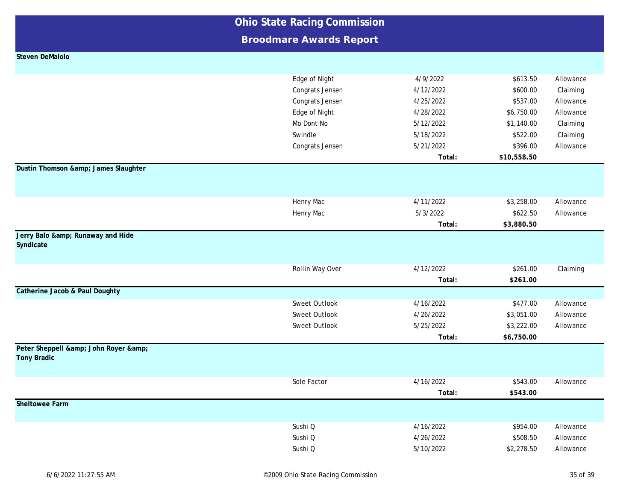| <b>Ohio State Racing Commission</b> |                                |           |             |           |
|-------------------------------------|--------------------------------|-----------|-------------|-----------|
|                                     | <b>Broodmare Awards Report</b> |           |             |           |
| <b>Steven DeMaiolo</b>              |                                |           |             |           |
|                                     |                                |           |             |           |
|                                     | Edge of Night                  | 4/9/2022  | \$613.50    | Allowance |
|                                     | Congrats Jensen                | 4/12/2022 | \$600.00    | Claiming  |
|                                     | Congrats Jensen                | 4/25/2022 | \$537.00    | Allowance |
|                                     | Edge of Night                  | 4/28/2022 | \$6,750.00  | Allowance |
|                                     | Mo Dont No                     | 5/12/2022 | \$1,140.00  | Claiming  |
|                                     | Swindle                        | 5/18/2022 | \$522.00    | Claiming  |
|                                     | Congrats Jensen                | 5/21/2022 | \$396.00    | Allowance |
|                                     |                                | Total:    | \$10,558.50 |           |
| Dustin Thomson & James Slaughter    |                                |           |             |           |
|                                     |                                |           |             |           |
|                                     |                                |           |             |           |
|                                     | Henry Mac                      | 4/11/2022 | \$3,258.00  | Allowance |
|                                     | Henry Mac                      | 5/3/2022  | \$622.50    | Allowance |
|                                     |                                | Total:    | \$3,880.50  |           |
| Jerry Balo & Runaway and Hide       |                                |           |             |           |
| Syndicate                           |                                |           |             |           |
|                                     |                                |           |             |           |
|                                     | Rollin Way Over                | 4/12/2022 | \$261.00    | Claiming  |
|                                     |                                | Total:    | \$261.00    |           |
| Catherine Jacob & Paul Doughty      |                                |           |             |           |
|                                     | Sweet Outlook                  | 4/16/2022 | \$477.00    | Allowance |
|                                     | Sweet Outlook                  | 4/26/2022 | \$3,051.00  | Allowance |
|                                     | Sweet Outlook                  | 5/25/2022 | \$3,222.00  | Allowance |
|                                     |                                | Total:    | \$6,750.00  |           |
| Peter Sheppell & John Royer &       |                                |           |             |           |
| <b>Tony Bradic</b>                  |                                |           |             |           |
|                                     |                                |           |             |           |
|                                     | Sole Factor                    | 4/16/2022 | \$543.00    | Allowance |
|                                     |                                | Total:    | \$543.00    |           |
| <b>Sheltowee Farm</b>               |                                |           |             |           |
|                                     |                                |           |             |           |
|                                     | Sushi Q                        | 4/16/2022 | \$954.00    | Allowance |
|                                     | Sushi Q                        | 4/26/2022 | \$508.50    | Allowance |
|                                     | Sushi Q                        | 5/10/2022 | \$2,278.50  | Allowance |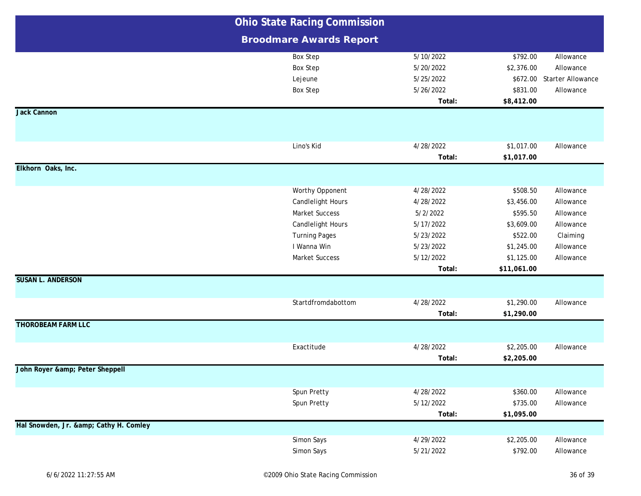|                                    | <b>Ohio State Racing Commission</b> |           |             |                   |
|------------------------------------|-------------------------------------|-----------|-------------|-------------------|
|                                    | <b>Broodmare Awards Report</b>      |           |             |                   |
|                                    | <b>Box Step</b>                     | 5/10/2022 | \$792.00    | Allowance         |
|                                    | <b>Box Step</b>                     | 5/20/2022 | \$2,376.00  | Allowance         |
|                                    | Lejeune                             | 5/25/2022 | \$672.00    | Starter Allowance |
|                                    | <b>Box Step</b>                     | 5/26/2022 | \$831.00    | Allowance         |
|                                    |                                     | Total:    | \$8,412.00  |                   |
| Jack Cannon                        |                                     |           |             |                   |
|                                    |                                     |           |             |                   |
|                                    | Lino's Kid                          | 4/28/2022 |             |                   |
|                                    |                                     |           | \$1,017.00  | Allowance         |
| Elkhorn Oaks, Inc.                 |                                     | Total:    | \$1,017.00  |                   |
|                                    |                                     |           |             |                   |
|                                    | Worthy Opponent                     | 4/28/2022 | \$508.50    | Allowance         |
|                                    | Candlelight Hours                   | 4/28/2022 | \$3,456.00  | Allowance         |
|                                    | <b>Market Success</b>               | 5/2/2022  | \$595.50    | Allowance         |
|                                    | <b>Candlelight Hours</b>            | 5/17/2022 | \$3,609.00  | Allowance         |
|                                    | <b>Turning Pages</b>                | 5/23/2022 | \$522.00    | Claiming          |
|                                    | I Wanna Win                         | 5/23/2022 | \$1,245.00  | Allowance         |
|                                    | <b>Market Success</b>               | 5/12/2022 | \$1,125.00  | Allowance         |
|                                    |                                     | Total:    | \$11,061.00 |                   |
| <b>SUSAN L. ANDERSON</b>           |                                     |           |             |                   |
|                                    | Startdfromdabottom                  | 4/28/2022 | \$1,290.00  | Allowance         |
|                                    |                                     | Total:    | \$1,290.00  |                   |
| <b>THOROBEAM FARM LLC</b>          |                                     |           |             |                   |
|                                    |                                     |           |             |                   |
|                                    | Exactitude                          | 4/28/2022 | \$2,205.00  | Allowance         |
|                                    |                                     | Total:    | \$2,205.00  |                   |
| John Royer & Peter Sheppell        |                                     |           |             |                   |
|                                    |                                     |           |             |                   |
|                                    | Spun Pretty                         | 4/28/2022 | \$360.00    | Allowance         |
|                                    | Spun Pretty                         | 5/12/2022 | \$735.00    | Allowance         |
|                                    |                                     | Total:    | \$1,095.00  |                   |
| Hal Snowden, Jr. & Cathy H. Comley |                                     |           |             |                   |
|                                    | Simon Says                          | 4/29/2022 | \$2,205.00  | Allowance         |
|                                    | Simon Says                          | 5/21/2022 | \$792.00    | Allowance         |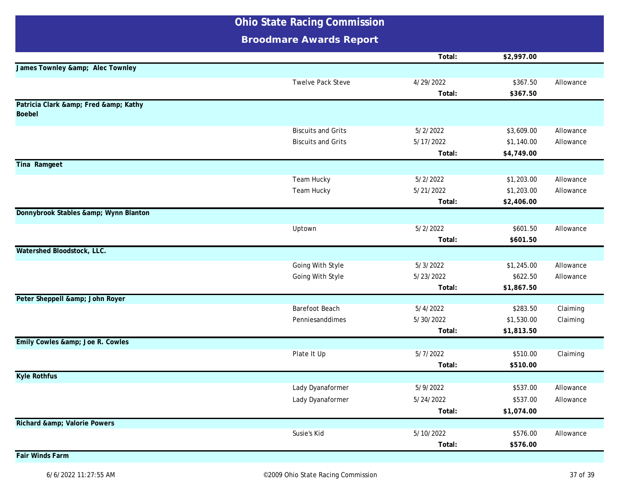|                                                | <b>Ohio State Racing Commission</b> |                       |                          |           |
|------------------------------------------------|-------------------------------------|-----------------------|--------------------------|-----------|
|                                                | <b>Broodmare Awards Report</b>      |                       |                          |           |
|                                                |                                     | Total:                | \$2,997.00               |           |
| James Townley & Alec Townley                   |                                     |                       |                          |           |
|                                                | Twelve Pack Steve                   | 4/29/2022             | \$367.50                 | Allowance |
|                                                |                                     | Total:                | \$367.50                 |           |
| Patricia Clark & Fred & Kathy<br><b>Boebel</b> |                                     |                       |                          |           |
|                                                | <b>Biscuits and Grits</b>           | 5/2/2022              | \$3,609.00               | Allowance |
|                                                | <b>Biscuits and Grits</b>           | 5/17/2022             | \$1,140.00               | Allowance |
|                                                |                                     | Total:                | \$4,749.00               |           |
| Tina Ramgeet                                   |                                     |                       |                          |           |
|                                                | Team Hucky                          | 5/2/2022              | \$1,203.00               | Allowance |
|                                                | Team Hucky                          | 5/21/2022             | \$1,203.00               | Allowance |
|                                                |                                     | Total:                | \$2,406.00               |           |
| Donnybrook Stables & Wynn Blanton              |                                     |                       |                          |           |
|                                                | Uptown                              | 5/2/2022              | \$601.50                 | Allowance |
|                                                |                                     | Total:                | \$601.50                 |           |
| Watershed Bloodstock, LLC.                     |                                     |                       |                          |           |
|                                                | Going With Style                    | 5/3/2022              | \$1,245.00               | Allowance |
|                                                | Going With Style                    | 5/23/2022             | \$622.50                 | Allowance |
|                                                |                                     | Total:                | \$1,867.50               |           |
| Peter Sheppell & John Royer                    |                                     |                       |                          |           |
|                                                | Barefoot Beach                      | 5/4/2022<br>5/30/2022 | \$283.50                 | Claiming  |
|                                                | Penniesanddimes                     | Total:                | \$1,530.00<br>\$1,813.50 | Claiming  |
| Emily Cowles & Joe R. Cowles                   |                                     |                       |                          |           |
|                                                | Plate It Up                         | 5/7/2022              | \$510.00                 | Claiming  |
|                                                |                                     | Total:                | \$510.00                 |           |
| <b>Kyle Rothfus</b>                            |                                     |                       |                          |           |
|                                                | Lady Dyanaformer                    | 5/9/2022              | \$537.00                 | Allowance |
|                                                | Lady Dyanaformer                    | 5/24/2022             | \$537.00                 | Allowance |
|                                                |                                     | Total:                | \$1,074.00               |           |
| Richard & Valorie Powers                       |                                     |                       |                          |           |
|                                                | Susie's Kid                         | 5/10/2022             | \$576.00                 | Allowance |
|                                                |                                     | Total:                | \$576.00                 |           |
| <b>Fair Winds Farm</b>                         |                                     |                       |                          |           |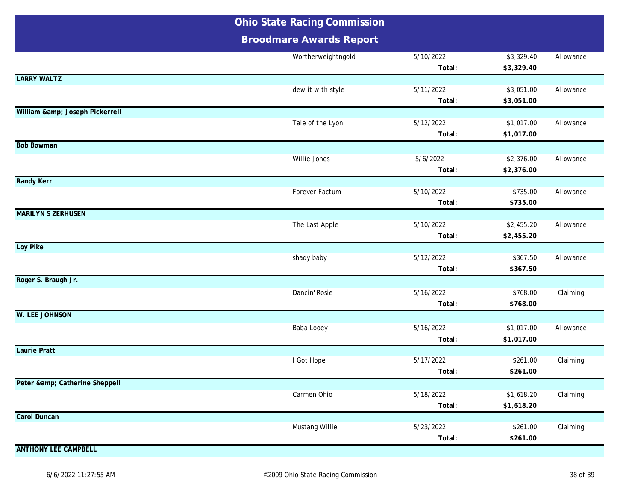|                             | <b>Ohio State Racing Commission</b> |                     |                          |           |
|-----------------------------|-------------------------------------|---------------------|--------------------------|-----------|
|                             | <b>Broodmare Awards Report</b>      |                     |                          |           |
|                             | Wortherweightngold                  | 5/10/2022<br>Total: | \$3,329.40<br>\$3,329.40 | Allowance |
| <b>LARRY WALTZ</b>          |                                     |                     |                          |           |
|                             | dew it with style                   | 5/11/2022<br>Total: | \$3,051.00<br>\$3,051.00 | Allowance |
| William & Joseph Pickerrell |                                     |                     |                          |           |
|                             | Tale of the Lyon                    | 5/12/2022<br>Total: | \$1,017.00<br>\$1,017.00 | Allowance |
| <b>Bob Bowman</b>           |                                     |                     |                          |           |
|                             | Willie Jones                        | 5/6/2022<br>Total:  | \$2,376.00<br>\$2,376.00 | Allowance |
| <b>Randy Kerr</b>           |                                     |                     |                          |           |
|                             | Forever Factum                      | 5/10/2022<br>Total: | \$735.00<br>\$735.00     | Allowance |
| <b>MARILYN S ZERHUSEN</b>   |                                     |                     |                          |           |
|                             | The Last Apple                      | 5/10/2022<br>Total: | \$2,455.20<br>\$2,455.20 | Allowance |
| Loy Pike                    |                                     |                     |                          |           |
|                             | shady baby                          | 5/12/2022<br>Total: | \$367.50<br>\$367.50     | Allowance |
| Roger S. Braugh Jr.         |                                     |                     |                          |           |
|                             | Dancin' Rosie                       | 5/16/2022<br>Total: | \$768.00<br>\$768.00     | Claiming  |
| <b>W. LEE JOHNSON</b>       |                                     |                     |                          |           |
|                             | Baba Looey                          | 5/16/2022<br>Total: | \$1,017.00<br>\$1,017.00 | Allowance |
| <b>Laurie Pratt</b>         |                                     |                     |                          |           |
|                             | I Got Hope                          | 5/17/2022<br>Total: | \$261.00<br>\$261.00     | Claiming  |
| Peter & Catherine Sheppell  |                                     |                     |                          |           |
|                             | Carmen Ohio                         | 5/18/2022<br>Total: | \$1,618.20<br>\$1,618.20 | Claiming  |
| <b>Carol Duncan</b>         |                                     |                     |                          |           |
|                             | Mustang Willie                      | 5/23/2022<br>Total: | \$261.00<br>\$261.00     | Claiming  |
| <b>ANTHONY LEE CAMPBELL</b> |                                     |                     |                          |           |